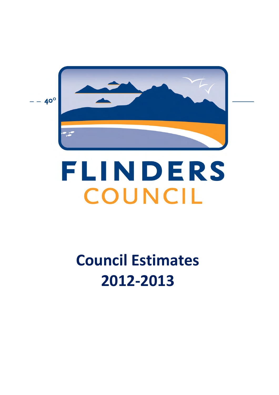

# FLINDERS COUNCIL

# **Council Estimates 2012-2013**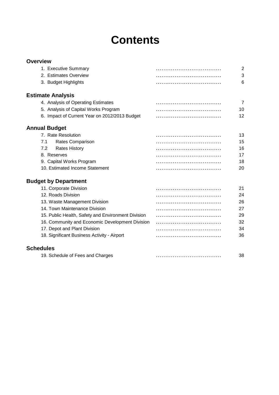# **Contents**

| <b>Overview</b>                                    |                |
|----------------------------------------------------|----------------|
| 1. Executive Summary                               | 2              |
| 2. Estimates Overview                              | 3              |
| 3. Budget Highlights                               | 6              |
| <b>Estimate Analysis</b>                           |                |
| 4. Analysis of Operating Estimates                 | $\overline{7}$ |
| 5. Analysis of Capital Works Program               | 10             |
| 6. Impact of Current Year on 2012/2013 Budget      | 12             |
|                                                    |                |
| <b>Annual Budget</b>                               |                |
| 7. Rate Resolution                                 | 13             |
| Rates Comparison<br>7.1                            | 15             |
| <b>Rates History</b><br>7.2                        | 16             |
| 8. Reserves                                        | 17             |
| 9. Capital Works Program                           | 18             |
| 10. Estimated Income Statement                     | 20             |
| <b>Budget by Department</b>                        |                |
| 11. Corporate Division                             | 21             |
| 12. Roads Division                                 | 24             |
| 13. Waste Management Division                      | 26             |
| 14. Town Maintenance Division                      | 27             |
| 15. Public Health, Safety and Environment Division | 29             |
| 16. Community and Economic Development Division    | 32             |
| 17. Depot and Plant Division                       | 34             |
| 18. Significant Business Activity - Airport        | 36             |
|                                                    |                |
| <b>Schedules</b>                                   |                |
| 19. Schedule of Fees and Charges                   | 38             |
|                                                    |                |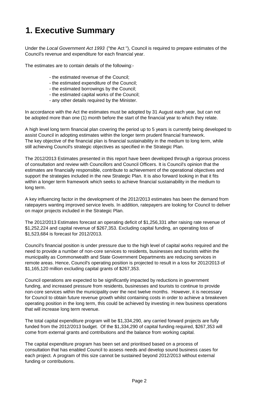# **1. Executive Summary**

Under the *Local Government Act 1993* ("the Act "), Council is required to prepare estimates of the Council's revenue and expenditure for each financial year.

The estimates are to contain details of the following:-

- the estimated revenue of the Council;
- the estimated expenditure of the Council;
- the estimated borrowings by the Council;
- the estimated capital works of the Council;
- any other details required by the Minister.

In accordance with the Act the estimates must be adopted by 31 August each year, but can not be adopted more than one (1) month before the start of the financial year to which they relate.

A high level long term financial plan covering the period up to 5 years is currently being developed to assist Council in adopting estimates within the longer term prudent financial framework. The key objective of the financial plan is financial sustainability in the medium to long term, while still achieving Council's strategic objectives as specified in the Strategic Plan.

The 2012/2013 Estimates presented in this report have been developed through a rigorous process of consultation and review with Councillors and Council Officers. It is Council's opinion that the estimates are financially responsible, contribute to achievement of the operational objectives and support the strategies included in the new Strategic Plan. It is also forward looking in that it fits within a longer term framework which seeks to achieve financial sustainability in the medium to long term.

A key influencing factor in the development of the 2012/2013 estimates has been the demand from ratepayers wanting improved service levels. In addition, ratepayers are looking for Council to deliver on major projects included in the Strategic Plan.

The 2012/2013 Estimates forecast an operating deficit of \$1,256,331 after raising rate revenue of \$1,252,224 and capital revenue of \$267,353. Excluding capital funding, an operating loss of \$1,523,684 is forecast for 2012/2013.

Council's financial position is under pressure due to the high level of capital works required and the need to provide a number of non-core services to residents, businesses and tourists within the municipality as Commonwealth and State Government Departments are reducing services in remote areas. Hence, Council's operating position is projected to result in a loss for 2012/2013 of \$1,165,120 million excluding capital grants of \$267,353.

Council operations are expected to be significantly impacted by reductions in government funding, and increased pressure from residents, businesses and tourists to continue to provide non-core services within the municipality over the next twelve months. However, it is necessary for Council to obtain future revenue growth whilst containing costs in order to achieve a breakeven operating position in the long term, this could be achieved by investing in new business operations that will increase long term revenue.

The total capital expenditure program will be \$1,334,290, any carried forward projects are fully funded from the 2012/2013 budget. Of the \$1,334,290 of capital funding required, \$267,353 will come from external grants and contributions and the balance from working capital.

The capital expenditure program has been set and prioritised based on a process of consultation that has enabled Council to assess needs and develop sound business cases for each project. A program of this size cannot be sustained beyond 2012/2013 without external funding or contributions.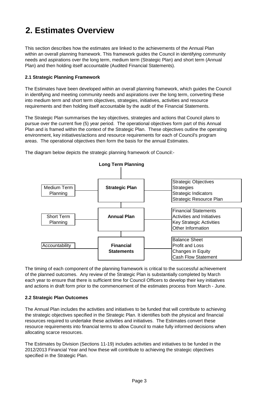# **2. Estimates Overview**

This section describes how the estimates are linked to the achievements of the Annual Plan within an overall planning framework. This framework guides the Council in identifying community needs and aspirations over the long term, medium term (Strategic Plan) and short term (Annual Plan) and then holding itself accountable (Audited Financial Statements).

# **2.1 Strategic Planning Framework**

The Estimates have been developed within an overall planning framework, which guides the Council in identifying and meeting community needs and aspirations over the long term, converting these into medium term and short term objectives, strategies, initiatives, activities and resource requirements and then holding itself accountable by the audit of the Financial Statements.

The Strategic Plan summarises the key objectives, strategies and actions that Council plans to pursue over the current five (5) year period. The operational objectives form part of this Annual Plan and is framed within the context of the Strategic Plan. These objectives outline the operating environment, key initiatives/actions and resource requirements for each of Council's program areas. The operational objectives then form the basis for the annual Estimates.



The diagram below depicts the strategic planning framework of Council:-

The timing of each component of the planning framework is critical to the successful achievement of the planned outcomes. Any review of the Strategic Plan is substantially completed by March each year to ensure that there is sufficient time for Council Officers to develop their key initiatives and actions in draft form prior to the commencement of the estimates process from March - June.

### **2.2 Strategic Plan Outcomes**

The Annual Plan includes the activities and initiatives to be funded that will contribute to achieving the strategic objectives specified in the Strategic Plan. It identifies both the physical and financial resources required to undertake these activities and initiatives. The Estimates convert these resource requirements into financial terms to allow Council to make fully informed decisions when allocating scarce resources.

The Estimates by Division (Sections 11-19) includes activities and initiatives to be funded in the 2012/2013 Financial Year and how these will contribute to achieving the strategic objectives specified in the Strategic Plan.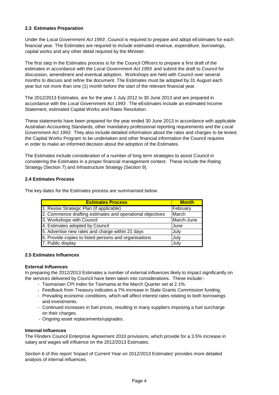# **2.3 Estimates Preparation**

Under the *Local Government Act 1993* , Council is required to prepare and adopt eEstimates for each financial year. The Estimates are required to include estimated revenue, expenditure, borrowings, capital works and any other detail required by the Minister.

The first step in the Estimates process is for the Council Officers to prepare a first draft of the estimates in accordance with the *Local Government Act 1993* and submit the draft to Council for discussion, amendment and eventual adoption. Workshops are held with Council over several months to discuss and refine the document. The Estimates must be adopted by 31 August each year but not more than one (1) month before the start of the relevant financial year.

The 2012/2013 Estimates, are for the year 1 July 2012 to 30 June 2013 and are prepared in accordance with the *Local Government Act 1993* . The eEstimates include an estimated Income Statement, estimated Capital Works and Rates Resolution.

These statements have been prepared for the year ended 30 June 2013 in accordance with applicable Australian Accounting Standards, other mandatory professional reporting requirements and the *Local Government Act 1993* . They also include detailed information about the rates and charges to be levied, the Capital Works Program to be undertaken and other financial information the Council requires in order to make an informed decision about the adoption of the Estimates.

The Estimates include consideration of a number of long term strategies to assist Council in considering the Estimates in a proper financial management context. These include the Rating Strategy (Section 7) and Infrastructure Strategy (Section 9).

### **2.4 Estimates Process**

The key dates for the Estimates process are summarised below:

| <b>Estimates Process</b>                                  | <b>Month</b> |
|-----------------------------------------------------------|--------------|
| 1. Revise Strategic Plan (if applicable)                  | February     |
| 2. Commence drafting estimates and operational objectives | March        |
| 3. Workshops with Council                                 | March-June   |
| 4. Estimates adopted by Council                           | June         |
| 5. Advertise new rates and charge within 21 days          | July         |
| 6. Provide copies to listed persons and organisations     | July         |
| 7. Public display                                         | July         |

### **2.5 Estimates Influences**

### **External Influences**

In preparing the 2012/2013 Estimates a number of external influences likely to impact significantly on the services delivered by Council have been taken into considerations. These include:-

- Tasmanian CPI Index for Tasmania at the March Quarter set at 2.1%.
- Feedback from Treasury indicates a 7% increase in State Grants Commission funding.
- Prevailing economic conditions, which will affect interest rates relating to both borrowings and investments.
- Continued increases in fuel prices, resulting in many suppliers imposing a fuel surcharge on their charges.
- Ongoing asset replacements/upgrades.

#### **Internal Influences**

The Flinders Council Enterprise Agreement 2010 provisions, which provide for a 3.5% increase in salary and wages will influence on the 2012/2013 Estimates.

Section 6 of this report 'Impact of Current Year on 2012/2013 Estimates' provides more detailed analysis of internal influences.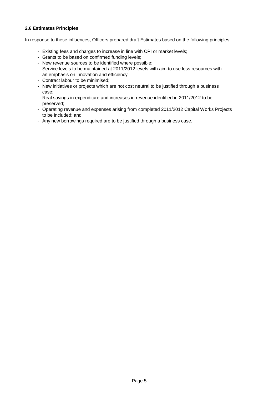# **2.6 Estimates Principles**

In response to these influences, Officers prepared draft Estimates based on the following principles:-

- Existing fees and charges to increase in line with CPI or market levels;
- Grants to be based on confirmed funding levels;
- New revenue sources to be identified where possible;
- Service levels to be maintained at 2011/2012 levels with aim to use less resources with an emphasis on innovation and efficiency;
- Contract labour to be minimised;
- New initiatives or projects which are not cost neutral to be justified through a business case;
- Real savings in expenditure and increases in revenue identified in 2011/2012 to be preserved;
- Operating revenue and expenses arising from completed 2011/2012 Capital Works Projects to be included; and
- Any new borrowings required are to be justified through a business case.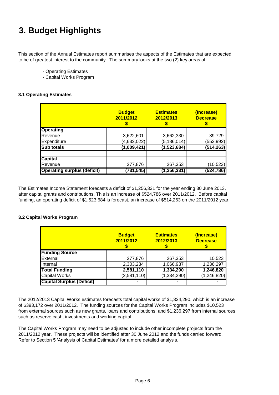# **3. Budget Highlights**

This section of the Annual Estimates report summarises the aspects of the Estimates that are expected to be of greatest interest to the community. The summary looks at the two (2) key areas of:-

- Operating Estimates
- Capital Works Program

# **3.1 Operating Estimates**

|                                    | <b>Budget</b><br>2011/2012 | <b>Estimates</b><br>2012/2013 | (Increase)<br><b>Decrease</b> |
|------------------------------------|----------------------------|-------------------------------|-------------------------------|
| <b>Operating</b>                   |                            |                               |                               |
| Revenue                            | 3,622,601                  | 3,662,330                     | 39,729                        |
| Expenditure                        | (4,632,022)                | (5, 186, 014)                 | (553, 992)                    |
| <b>Sub totals</b>                  | (1,009,421)                | (1,523,684)                   | (514, 263)                    |
| <b>Capital</b>                     |                            |                               |                               |
| Revenue                            | 277,876                    | 267,353                       | (10, 523)                     |
| <b>Operating surplus (deficit)</b> | (731, 545)                 | (1, 256, 331)                 | (524,786)                     |

The Estimates Income Statement forecasts a deficit of \$1,256,331 for the year ending 30 June 2013, after capital grants and contributions. This is an increase of \$524,786 over 2011/2012. Before capital funding, an operating deficit of \$1,523,684 is forecast, an increase of \$514,263 on the 2011/2012 year.

### **3.2 Capital Works Program**

|                                  | <b>Budget</b><br>2011/2012 | <b>Estimates</b><br>2012/2013 | (Increase)<br><b>Decrease</b> |
|----------------------------------|----------------------------|-------------------------------|-------------------------------|
| <b>Funding Source</b>            |                            |                               |                               |
| External                         | 277,876                    | 267,353                       | 10,523                        |
| Internal                         | 2,303,234                  | 1,066,937                     | 1,236,297                     |
| <b>Total Funding</b>             | 2,581,110                  | 1,334,290                     | 1,246,820                     |
| <b>Capital Works</b>             | (2,581,110)                | (1, 334, 290)                 | (1, 246, 820)                 |
| <b>Capital Surplus (Deficit)</b> | -                          | ۰                             |                               |

The 2012/2013 Capital Works estimates forecasts total capital works of \$1,334,290, which is an increase of \$393,172 over 2011/2012. The funding sources for the Capital Works Program includes \$10,523 from external sources such as new grants, loans and contributions; and \$1,236,297 from internal sources such as reserve cash, investments and working capital.

The Capital Works Program may need to be adjusted to include other incomplete projects from the 2011/2012 year. These projects will be identified after 30 June 2012 and the funds carried forward. Refer to Section 5 'Analysis of Capital Estimates' for a more detailed analysis.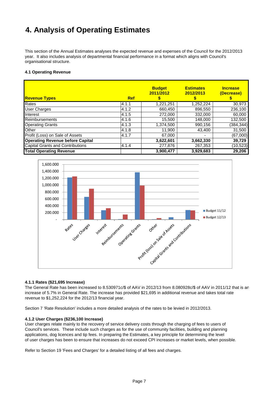# **4. Analysis of Operating Estimates**

This section of the Annual Estimates analyses the expected revenue and expenses of the Council for the 2012/2013 year. It also includes analysis of departmental financial performance in a format which aligns with Council's organisational structure.

#### **4.1 Operating Revenue**

| <b>Revenue Types</b>                    | <b>Ref</b> | <b>Budget</b><br>2011/2012 | <b>Estimates</b><br>2012/2013 | <b>Increase</b><br>(Decrease) |
|-----------------------------------------|------------|----------------------------|-------------------------------|-------------------------------|
| Rates                                   | 14.1.1     | 1,221,251                  | 1.252.224                     | 30,973                        |
| <b>User Charges</b>                     | 4.1.2      | 660,450                    | 896,550                       | 236,100                       |
| Interest                                | 4.1.5      | 272,000                    | 332,000                       | 60,000                        |
| Reimbursements                          | 4.1.6      | 15,500                     | 148,000                       | 132,500                       |
| <b>Operating Grants</b>                 | 4.1.3      | 1,374,500                  | 990,156                       | (384, 344)                    |
| <b>Other</b>                            | 4.1.8      | 11,900                     | 43,400                        | 31,500                        |
| Profit (Loss) on Sale of Assets         | 4.1.7      | 67.000                     | $\overline{\phantom{a}}$      | (67,000)                      |
| <b>Operating Revenue before Capital</b> |            | 3,622,601                  | 3,662,330                     | 39,729                        |
| <b>Capital Grants and Contributions</b> | 4.1.4      | 277,876                    | 267,353                       | (10, 523)                     |
| <b>Total Operating Revenue</b>          |            | 3,900,477                  | 3,929,683                     | 29,206                        |



#### **4.1.1 Rates (\$21,695 Increase)**

The General Rate has been increased to 8.530971c/\$ of AAV in 2012/13 from 8.080928c/\$ of AAV in 2011/12 that is an increase of 5.7% in General Rate. The increase has provided \$21,695 in additional revenue and takes total rate revenue to \$1,252,224 for the 2012/13 financial year.

Section 7 'Rate Resolution' includes a more detailed analysis of the rates to be levied in 2012/2013.

#### **4.1.2 User Charges (\$236,100 Increase)**

applications, dog licences and tip fees. In preparing the Estimates, a key principle for determining the level of user charges has been to ensure that increases do not exceed CPI increases or market levels, when possible. Council's services. These include such charges as for the use of community facilities, building and planning User charges relate mainly to the recovery of service delivery costs through the charging of fees to users of

Refer to Section 19 'Fees and Charges' for a detailed listing of all fees and charges.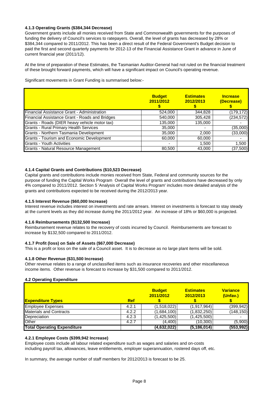#### **4.1.3 Operating Grants (\$384,344 Decrease)**

Government grants include all monies received from State and Commonwealth governments for the purposes of funding the delivery of Council's services to ratepayers. Overall, the level of grants has decreased by 28% or \$384,344 compared to 2011/2012. This has been a direct result of the Federal Government's Budget decision to paid the first and second quarterly payments for 2012-13 of the Financial Assistance Grant in advance in June of current financial year (2011/12).

At the time of preparation of these Estimates, the Tasmanian Auditor-General had not ruled on the financial treatment of these brought forward payments, which will have a significant impact on Council's operating revenue.

Significant movements in Grant Funding is summarised below:-

|                                                | <b>Budget</b><br>2011/2012 | <b>Estimates</b><br>2012/2013 | <b>Increase</b><br>(Decrease) |
|------------------------------------------------|----------------------------|-------------------------------|-------------------------------|
| Financial Assistance Grant - Administration    | 524,000                    | 344,828                       | (179, 172)                    |
| Financial Assistance Grant - Roads and Bridges | 540,000                    | 305,428                       | (234, 572)                    |
| Grants - Roads (DIER heavy vehicle motor tax)  | 135,000                    | 135,000                       |                               |
| <b>Grants - Rural Primary Health Services</b>  | 35,000                     |                               | (35,000)                      |
| Grants - Northern Tasmania Development         | 35,000                     | 2.000                         | (33,000)                      |
| Grants - Tourism and Economic Development      | 60,000                     | 60,000                        |                               |
| <b>Grants - Youth Activities</b>               | ۰                          | 1,500                         | 1,500                         |
| Grants - Natural Resource Management           | 80,500                     | 43,000                        | (37,500)                      |

#### **4.1.4 Capital Grants and Contributions (\$10,523 Decrease)**

Capital grants and contributions include monies received from State, Federal and community sources for the purpose of funding the Capital Works Program Overall the level of grants and contributions have decreased by only 4% compared to 2011/2012. Section 5 'Analysis of Capital Works Program' includes more detailed analysis of the grants and contributions expected to be received during the 2012/2013 year.

#### **4.1.5 Interest Revenue (\$60,000 Increase)**

Interest revenue includes interest on investments and rate arrears. Interest on investments is forecast to stay steady at the current levels as they did increase during the 2011/2012 year. An increase of 18% or \$60,000 is projected.

#### **4.1.6 Reimbursements (\$132,500 Increase)**

Reimbursement revenue relates to the recovery of costs incurred by Council. Reimbursements are forecast to increase by \$132,500 compared to 2011/2012.

#### **4.1.7 Profit (loss) on Sale of Assets (\$67,000 Decrease)**

This is a profit or loss on the sale of a Council asset. It is to decrease as no large plant items will be sold.

#### **4.1.8 Other Revenue (\$31,500 Increase)**

Other revenue relates to a range of unclassified items such as insurance recoveries and other miscellaneous income items. Other revenue is forecast to increase by \$31,500 compared to 2011/2012.

#### **4.2 Operating Expenditure**

| <b>Expenditure Types</b>           | <b>Ref</b> | <b>Budget</b><br>2011/2012 | <b>Estimates</b><br>2012/2013 | <b>Variance</b><br>(Unfav.) |
|------------------------------------|------------|----------------------------|-------------------------------|-----------------------------|
| <b>Employee Expenses</b>           | 4.2.1      | (1,518,022)                | (1, 917, 964)                 | (399, 942)                  |
| <b>Materials and Contracts</b>     | 4.2.2      | (1,684,100)                | (1,832,250)                   | (148, 150)                  |
| Depreciation                       | 4.2.3      | (1,425,500)                | (1,425,500)                   |                             |
| Other                              | 4.2.7      | (4,400)                    | (10, 300)                     | (5,900)                     |
| <b>Total Operating Expenditure</b> |            | $(4,\overline{632,022})$   | (5, 186, 014)                 | (553, 992)                  |

#### **4.2.1 Employee Costs (\$399,942 Increase)**

Employee costs include all labour related expenditure such as wages and salaries and on-costs including payroll tax, allowances, leave entitlements, employer superannuation, rostered days off, etc.

In summary, the average number of staff members for 2012/2013 is forecast to be 25.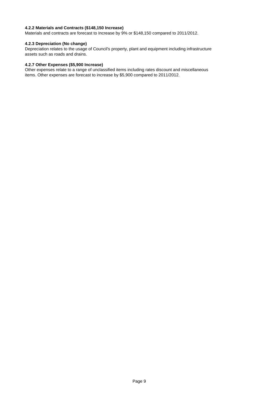### **4.2.2 Materials and Contracts (\$148,150 Increase)**

Materials and contracts are forecast to Increase by 9% or \$148,150 compared to 2011/2012.

### **4.2.3 Depreciation (No change)**

Depreciation relates to the usage of Council's property, plant and equipment including infrastructure assets such as roads and drains.

### **4.2.7 Other Expenses (\$5,900 Increase)**

Other expenses relate to a range of unclassified items including rates discount and miscellaneous items. Other expenses are forecast to increase by \$5,900 compared to 2011/2012.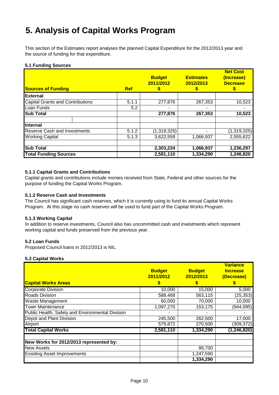# **5. Analysis of Capital Works Program**

This section of the Estimates report analyses the planned Capital Expenditure for the 2012/2013 year and the source of funding for that expenditure.

### **5.1 Funding Sources**

| <b>Sources of Funding</b>               |  | <b>Ref</b> | <b>Budget</b><br>2011/2012<br>S | <b>Estimates</b><br>2012/2013 | <b>Net Cost</b><br>(Increase)<br><b>Decrease</b> |
|-----------------------------------------|--|------------|---------------------------------|-------------------------------|--------------------------------------------------|
| <b>External</b>                         |  |            |                                 |                               |                                                  |
| <b>Capital Grants and Contributions</b> |  | 5.1.1      | 277,876                         | 267,353                       | 10,523                                           |
| Loan Funds                              |  | 5.2        |                                 |                               |                                                  |
| <b>Sub Total</b>                        |  |            | 277,876                         | 267,353                       | 10,523                                           |
| Internal                                |  |            |                                 |                               |                                                  |
| <b>Reserve Cash and Investments</b>     |  | 5.1.2      | (1,319,325)                     |                               | (1,319,325)                                      |
| <b>Working Capital</b>                  |  | 5.1.3      | 3,622,559                       | 1,066,937                     | 2,555,622                                        |
| <b>Sub Total</b>                        |  |            | 2,303,234                       | 1,066,937                     | 1,236,297                                        |
| <b>Total Funding Sources</b>            |  |            | 2,581,110                       | 1,334,290                     | 1,246,820                                        |

### **5.1.1 Capital Grants and Contributions**

Capital grants and contributions include monies received from State, Federal and other sources for the purpose of funding the Capital Works Program.

### **5.1.2 Reserve Cash and Investments**

The Council has significant cash reserves, which it is currently using to fund its annual Capital Works Program. At this stage no cash reserves will be used to fund part of the Capital Works Program.

#### **5.1.3 Working Capital**

In addition to reserve investments, Council also has uncommitted cash and investments which represent working capital and funds preserved from the previous year.

#### **5.2 Loan Funds**

Proposed Council loans in 2012/2013 is NIL.

#### **5.3 Capital Works**

|                                                  | <b>Budget</b><br>2011/2012 | <b>Budget</b><br>2012/2013 | <b>Variance</b><br><b>Increase</b><br>(Decrease) |
|--------------------------------------------------|----------------------------|----------------------------|--------------------------------------------------|
| <b>Capital Works Areas</b>                       | S                          | S                          |                                                  |
| <b>Corporate Division</b>                        | 10,000                     | 15,000                     | 5,000                                            |
| <b>Roads Division</b>                            | 588,468                    | 563,115                    | (25, 353)                                        |
| <b>Waste Management</b>                          | 60,000                     | 70,000                     | 10,000                                           |
| <b>Town Maintenance</b>                          | 1,097,270                  | 153,175                    | (944, 095)                                       |
| Public Health, Safety and Environmental Division |                            |                            |                                                  |
| Depot and Plant Division                         | 245,500                    | 262,500                    | 17,000                                           |
| Airport                                          | 579,872                    | 270,500                    | (309, 372)                                       |
| <b>Total Capital Works</b>                       | 2,581,110                  | 1,334,290                  | (1, 246, 820)                                    |
| New Works for 2012/2013 represented by:          |                            |                            |                                                  |
| <b>New Assets</b>                                |                            | 86,700                     |                                                  |
| <b>Exisiting Asset Improvements</b>              |                            | 1,247,590                  |                                                  |
|                                                  |                            | 1,334,290                  |                                                  |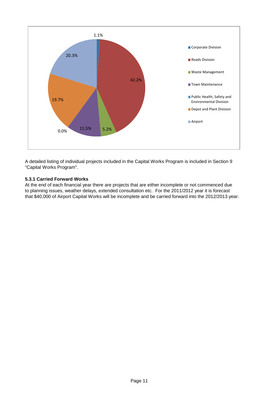

A detailed listing of individual projects included in the Capital Works Program is included in Section 9 "Capital Works Program".

# **5.3.1 Carried Forward Works**

At the end of each financial year there are projects that are either incomplete or not commenced due to planning issues, weather delays, extended consultation etc. For the 2011/2012 year it is forecast that \$40,000 of Airport Capital Works will be incomplete and be carried forward into the 2012/2013 year.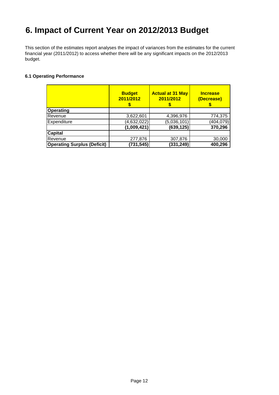# **6. Impact of Current Year on 2012/2013 Budget**

This section of the estimates report analyses the impact of variances from the estimates for the current financial year (2011/2012) to access whether there will be any significant impacts on the 2012/2013 budget.

# **6.1 Operating Performance**

|                                    | <b>Budget</b><br>2011/2012 | <b>Actual at 31 May</b><br>2011/2012 | <b>Increase</b><br>(Decrease) |
|------------------------------------|----------------------------|--------------------------------------|-------------------------------|
| <b>Operating</b>                   |                            |                                      |                               |
| Revenue                            | 3,622,601                  | 4,396,976                            | 774,375                       |
| Expenditure                        | (4,632,022)                | (5,036,101)                          | (404, 079)                    |
|                                    | (1,009,421)                | (639, 125)                           | 370,296                       |
| <b>Capital</b>                     |                            |                                      |                               |
| Revenue                            | 277,876                    | 307,876                              | 30,000                        |
| <b>Operating Surplus (Deficit)</b> | (731, 545)                 | (331, 249)                           | 400,296                       |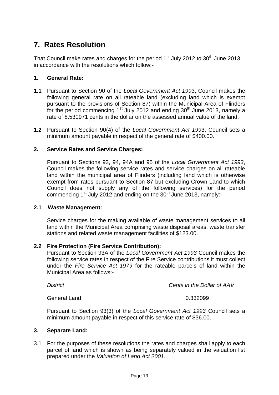# **7. Rates Resolution**

That Council make rates and charges for the period  $1<sup>st</sup>$  July 2012 to 30<sup>th</sup> June 2013 in accordance with the resolutions which follow:-

# **1. General Rate:**

- **1.1** Pursuant to Section 90 of the *Local Government Act 199*3, Council makes the following general rate on all rateable land (excluding land which is exempt pursuant to the provisions of Section 87) within the Municipal Area of Flinders for the period commencing 1<sup>st</sup> July 2012 and ending  $30<sup>th</sup>$  June 2013, namely a rate of 8.530971 cents in the dollar on the assessed annual value of the land.
- **1.2** Pursuant to Section 90(4) of the *Local Government Act 199*3, Council sets a minimum amount payable in respect of the general rate of \$400.00.

# **2. Service Rates and Service Charges:**

Pursuant to Sections 93, 94, 94A and 95 of the *Local Government Act 1993*, Council makes the following service rates and service charges on all rateable land within the municipal area of Flinders (including land which is otherwise exempt from rates pursuant to Section 87 but excluding Crown Land to which Council does not supply any of the following services) for the period commencing  $1^{st}$  July 2012 and ending on the 30<sup>th</sup> June 2013, namely:-

# **2.1 Waste Management:**

Service charges for the making available of waste management services to all land within the Municipal Area comprising waste disposal areas, waste transfer stations and related waste management facilities of \$123.00.

# **2.2 Fire Protection (Fire Service Contribution):**

 Pursuant to Section 93A of the *Local Government Act 1993* Council makes the following service rates in respect of the Fire Service contributions it must collect under the *Fire Service Act 1979* for the rateable parcels of land within the Municipal Area as follows:-

*District Cents in the Dollar of AAV*

General Land 0.332099

 Pursuant to Section 93(3) of the *Local Government Act 1993* Council sets a minimum amount payable in respect of this service rate of \$36.00.

# **3. Separate Land:**

3.1 For the purposes of these resolutions the rates and charges shall apply to each parcel of land which is shown as being separately valued in the valuation list prepared under the *Valuation of Land Act 2001*.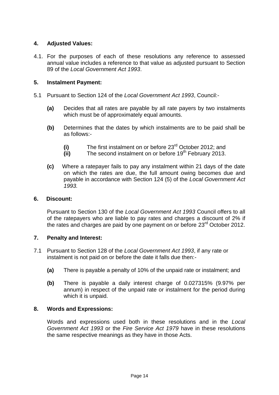# **4. Adjusted Values:**

4.1. For the purposes of each of these resolutions any reference to assessed annual value includes a reference to that value as adjusted pursuant to Section 89 of the *Local Government Act 1993*.

# **5. Instalment Payment:**

- 5.1 Pursuant to Section 124 of the *Local Government Act 1993*, Council:-
	- **(a)** Decides that all rates are payable by all rate payers by two instalments which must be of approximately equal amounts.
	- **(b)** Determines that the dates by which instalments are to be paid shall be as follows:-
		- **(i)** The first instalment on or before 23rd October 2012; and
		- **(ii)** The second instalment on or before 19<sup>th</sup> February 2013.
	- **(c)** Where a ratepayer fails to pay any instalment within 21 days of the date on which the rates are due, the full amount owing becomes due and payable in accordance with Section 124 (5) of the *Local Government Act 1993.*

# **6. Discount:**

 Pursuant to Section 130 of the *Local Government Act 1993* Council offers to all of the ratepayers who are liable to pay rates and charges a discount of 2% if the rates and charges are paid by one payment on or before 23<sup>rd</sup> October 2012.

# **7. Penalty and Interest:**

- 7.1 Pursuant to Section 128 of the *Local Government Act 1993*, if any rate or instalment is not paid on or before the date it falls due then:-
	- **(a)** There is payable a penalty of 10% of the unpaid rate or instalment; and
	- **(b)** There is payable a daily interest charge of 0.027315% (9.97% per annum) in respect of the unpaid rate or instalment for the period during which it is unpaid.

# **8. Words and Expressions:**

Words and expressions used both in these resolutions and in the *Local Government Act 1993* or the *Fire Service Act 1979* have in these resolutions the same respective meanings as they have in those Acts.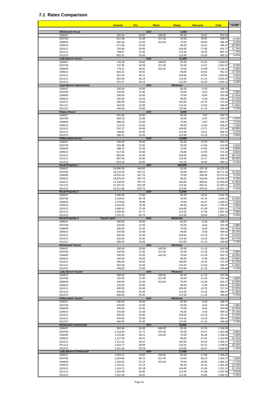### **7.1 Rates Comparison**

|                                                          | <b>General</b>         | <b>Fire</b>      | <b>Water</b>     | <b>Waste</b>             | <b>Discount</b>        | <b>Total</b>           | % Diff             |
|----------------------------------------------------------|------------------------|------------------|------------------|--------------------------|------------------------|------------------------|--------------------|
| <b>Whitemark House</b>                                   |                        | AAV              |                  | 9,400                    |                        |                        |                    |
| 2006/07                                                  | 597.64                 | 30.00            | 240.00           | 85.00                    | $-19.05$               | 933.59                 |                    |
| 2007/08<br>2008/09                                       | 615.48<br>640.46       | 31.00<br>32.02   | 251.00<br>262.00 | 50.00<br>70.00           | $-18.95$<br>$-20.09$   | 928.53<br>984.39       | $-0.54%$<br>6.02%  |
| 2009/10                                                  | 671.68                 | 33.00            |                  | 96.00                    | $-16.01$               | 784.67                 | $-20.29%$          |
| 2010/11                                                  | 756.66                 | 34.00            |                  | 104.00                   | $-17.89$               | 876.77                 | 11.74%             |
| 2011/12<br>2012/13                                       | 758.67<br>801.91       | 35.00<br>35.00   |                  | 116.50<br>123.00         | $-18.20$<br>$-19.20$   | 891.97<br>940.72       | 1.73%<br>5.47%     |
| <b>Lady Barron House</b>                                 |                        | AAV              |                  | 11,200                   |                        |                        |                    |
| 2006/07                                                  | 726.28                 | 30.00            | 240.00           | 85.00                    | $-21.63$               | 1,059.65               |                    |
| 2007/08<br>2008/09                                       | 747.96<br>778.31       | 34.38<br>38.92   | 251.00<br>262.00 | 50.00<br>70.00           | $-21.67$<br>$-22.98$   | 1,061.67<br>1,126.25   | 0.19%<br>6.08%     |
| 2009/10                                                  | 816.25                 | 38.92            |                  | 96.00                    | $-19.02$               | 932.15                 | $-17.23%$          |
| 2010/11                                                  | 901.56                 | 40.21            |                  | 104.00                   | $-20.92$               | 1,024.85               | 9.95%              |
| 2011/12<br>2012/13                                       | 903.94<br>955.47       | 36.14<br>36.14   |                  | 116.50<br>123.00         | $-21.13$<br>$-22.29$   | 1,035.45<br>1,092.32   | 1.03%<br>5.49%     |
| <b>Cape Barren Island House</b>                          |                        | AAV              |                  | <b>Minimum</b>           |                        |                        |                    |
| 2006/07                                                  | 200.00                 | 30.00            |                  | 85.00                    | $-6.30$                | 308.70                 |                    |
| 2007/08<br>2008/09                                       | 250.00<br>300.00       | 31.00<br>32.00   |                  | 50.00<br>70.00           | $-6.62$<br>$-8.04$     | 324.38<br>393.96       | 5.08%<br>21.45%    |
| 2009/10                                                  | 350.00                 | 33.00            |                  | 96.00                    | $-9.58$                | 469.42                 | 19.15%             |
| 2010/11                                                  | 400.00                 | 34.00            |                  | 104.00                   | $-10.76$               | 527.24                 | 12.32%             |
| 2011/12<br>2012/13                                       | 450.00<br>400.00       | 35.00<br>35.00   |                  | 116.50<br>123.00         | $-12.03$<br>$-11.16$   | 589.47<br>546.84       | 11.80%<br>$-7.23%$ |
| <b>Palana House</b>                                      |                        | AAV              |                  | 6,800                    |                        |                        |                    |
| 2006/07<br>2007/08                                       | 455.60<br>469.20       | 30.00<br>31.00   |                  | 85.00<br>50.00           | $-7.87$<br>$-6.87$     | 562.73<br>543.33       | $-3.45%$           |
| 2008/09                                                  | 488.24                 | 32.00            |                  | 70.00                    | $-5.87$                | 584.37                 | 7.55%              |
| 2009/10                                                  | 512.04                 | 33.00            |                  | 96.00                    | $-12.82$               | 628.22                 | 7.50%              |
| 2010/11<br>2011/12                                       | 547.37<br>548.82       | 34.00<br>35.00   |                  | 104.00<br>116.50         | $-13.71$<br>$-14.01$   | 671.66<br>686.31       | 14.94%<br>9.25%    |
| 2012/13                                                  | 580.11                 | 35.00            |                  | 123.00                   | $-14.76$               | 723.35                 | 5.40%              |
| <b>Killiecrankie House</b>                               |                        | AAV              |                  | 10,000                   |                        |                        |                    |
| 2006/07<br>2007/08                                       | 549.40<br>565.80       | 30.00<br>31.00   |                  | 85.00<br>50.00           | $-13.29$<br>$-12.94$   | 651.11<br>633.86       | $-2.65%$           |
| 2008/09                                                  | 588.76                 | 32.00            |                  | 70.00                    | $-13.82$               | 676.94                 | 6.80%              |
| 2009/10                                                  | 617.46                 | 33.00            |                  | 96.00                    | $-14.93$               | 731.53                 | 8.06%              |
| 2010/11<br>2011/12                                       | 804.96<br>807.09       | 34.00<br>35.00   |                  | 104.00<br>116.50         | $-18.86$<br>$-19.17$   | 924.10<br>939.42       | 36.51%<br>28.42%   |
| 2012/13                                                  | 853.10                 | 35.00            |                  | 116.50                   | $-20.09$               | 984.51                 | 6.54%              |
| <b>Rural Property 1</b>                                  |                        | AAV              |                  | 264,000                  |                        |                        |                    |
| 2006/07<br>2007/08                                       | 16,080.00<br>18,216.00 | 444.00<br>837.41 |                  | 85.00<br>50.00           | $-332.18$<br>$-382.07$ | 16,276.82<br>18,721.34 | 15.02%             |
| 2008/09                                                  | 18,955.20              | 947.76           |                  | 70.00                    | $-399.46$              | 19,573.50              | 4.55%              |
| 2009/10                                                  | 19,879.20              | 947.76           |                  | 96.00                    | $-418.46$              | 20,504.50              | 4.76%              |
| 2010/11<br>2011/12                                       | 21,250.94<br>21,307.25 | 947.76<br>851.98 |                  | 104.00<br>116.50         | $-446.05$<br>$-445.51$ | 21,856.65<br>21,830.22 | 11.66%<br>6.47%    |
| 2012/13                                                  | 22,521.84              | 876.74           |                  | 123.00                   | $-470.43$              | 23,051.15              | 5.59%              |
| <b>Rural Property 2</b><br>2006/07                       | 1,340.00               | AAV<br>37.00     |                  | 21,000<br>85.00          | $-29.24$               | 1,432.76               |                    |
| 2007/08                                                  | 1,518.00               | 69.78            |                  | 50.00                    | $-32.76$               | 1,605.02               | 12.02%             |
| 2008/09                                                  | 1,579.60               | 78.98            |                  | 70.00                    | $-34.57$               | 1,694.01               | 5.54%              |
| 2009/10<br>2010/11                                       | 1,656.60<br>1,690.42   | 78.98<br>75.39   |                  | 96.00<br>104.00          | $-36.63$<br>$-37.40$   | 1,794.95<br>1,832.41   | 5.96%<br>8.17%     |
| 2011/12                                                  | 1,694.89               | 67.77            |                  | 116.50                   | $-37.58$               | 1,841.58               | 2.60%              |
| 2012/13<br><b>Rural Property 3</b><br><b>Vacant Land</b> | 1,791.51               | 69.74<br>AAV     |                  | 123.00<br><b>Minimum</b> | $-39.69$               | 1,944.57               | 5.59%              |
| 2006/07                                                  | 200.00                 | 30.00            |                  | 85.00                    | $-6.30$                | 308.70                 |                    |
| 2007/08                                                  | 250.00                 | 31.00            |                  | 50.00                    | $-6.62$                | 324.38                 | 5.08%              |
| 2008/09<br>2009/10                                       | 300.00<br>350.00       | 32.00<br>33.00   |                  | 70.00<br>96.00           | $-8.04$<br>-9.58       | 393.96<br>469.42       | 21.45%<br>19.15%   |
| 2010/11                                                  | 400.00                 | 34.00            |                  | 104.00                   | $-10.76$               | 527.24                 | 33.83%             |
| 2011/12<br>2012/13                                       | 450.00<br>400.00       | 35.00<br>35.00   |                  | 116.50<br>123.00         | $-12.03$<br>$-11.16$   | 589.47<br>546.84       | 25.57%<br>$-7.23%$ |
| <b>Whitemark Vacant</b>                                  |                        | <b>AAV</b>       |                  | <b>Minimum</b>           |                        |                        |                    |
| 2006/07                                                  | 200.00                 | 30.00            | 240.00           | 85.00                    | $-11.10$               | 543.90                 |                    |
| 2007/08<br>2008/09                                       | 250.00<br>300.00       | 31.00<br>32.00   | 251.00<br>262.00 | 50.00<br>70.00           | $-11.64$<br>$-13.28$   | 570.36<br>650.72       | 4.86%<br>14.09%    |
| 2009/10                                                  | 350.00                 | 33.00            |                  | 96.00                    | $-9.58$                | 469.42                 | $-27.86%$          |
| 2010/11                                                  | 400.00                 | 34.00            |                  | 104.00                   | $-10.76$               | 527.24                 | 12.32%             |
| 2011/12<br>2012/13                                       | 450.00<br>400.00       | 35.00<br>35.00   |                  | 116.50<br>123.00         | $-12.03$<br>$-11.16$   | 589.47<br>546.84       | 11.80%<br>$-7.23%$ |
| <b>Lady Barron Vacant</b>                                |                        | AAV              |                  | <b>Minimum</b>           |                        |                        |                    |
| 2006/07<br>2007/08                                       | 200.00<br>250.00       | 30.00<br>31.00   | 240.00<br>251.00 | 85.00<br>50.00           | $-11.10$<br>$-11.64$   | 543.90<br>570.36       | 4.86%              |
| 2008/09                                                  | 300.00                 | 32.00            | 262.00           | 70.00                    | $-13.28$               | 650.72                 | 14.09%             |
| 2009/10                                                  | 350.00                 | 33.00            |                  | 96.00                    | $-9.58$                | 469.42                 | $-27.86%$          |
| 2010/11<br>2011/12                                       | 400.00<br>450.00       | 34.00<br>35.00   |                  | 104.00<br>116.50         | $-10.76$<br>$-12.03$   | 527.24<br>589.47       | 12.32%<br>11.80%   |
| 2012/13                                                  | 400.00                 | 35.00            |                  | 123.00                   | $-11.16$               | 546.84                 | $-7.23%$           |
| <b>Killiecrankie Vacant</b>                              |                        | AAV<br>30.00     |                  | <b>Minimum</b>           |                        |                        |                    |
| 2006/07<br>2007/08                                       | 200.00<br>250.00       | 31.00            |                  | 85.00<br>50.00           | $-6.30$<br>$-6.62$     | 308.70<br>324.38       | 5.08%              |
| 2008/09                                                  | 300.00                 | 32.00            |                  | 70.00                    | $-8.04$                | 393.96                 | 21.45%             |
| 2009/10<br>2010/11                                       | 350.00<br>400.00       | 33.00<br>34.00   |                  | 96.00<br>104.00          | $-9.58$<br>$-10.76$    | 469.42<br>527.24       | 19.15%<br>12.32%   |
| 2011/12                                                  | 450.00                 | 35.00            |                  | 116.50                   | $-12.03$               | 589.47                 | 11.80%             |
| 2012/13                                                  | 400.00                 | 35.00            |                  | 123.00                   | $-11.16$               | 546.84                 | $-7.23%$           |
| <b>Whitemark Commercial</b><br>2006/07                   | 992.84                 | AAV<br>30.00     | 480.00           | 18,000<br>85.00          | $-31.76$               | 1,556.08               |                    |
| 2007/08                                                  | 1,124.84               | 51.71            | 502.00           | 50.00                    | $-34.57$               | 1,693.98               | 8.86%              |
| 2008/09                                                  | 1,170.48               | 58.52            | 524.00           | 70.00                    | $-36.46$               | 1,786.54               | 5.46%              |
| 2009/10<br>2010/11                                       | 1,227.00<br>1,312.25   | 58.52<br>58.52   |                  | 96.00<br>104.00          | $-27.63$<br>$-29.50$   | 1,353.89<br>1,445.27   | $-24.22%$<br>6.75% |
| 2011/12                                                  | 1,452.77               | 58.09            |                  | 116.50                   | $-32.55$               | 1,594.81               | 10.35%             |
| 2012/13<br><b>Lady Barron Commercial</b>                 | 1,535.58               | 59.78<br>AAV     |                  | 123.00<br>17,600         | $-34.37$               | 1,683.99               | 5.59%              |
| 2006/07                                                  | 1,029.12               | 30.00            | 240.00           | 85.00                    | $-27.68$               | 1,356.44               |                    |
| 2007/08                                                  | 1,059.84               | 48.72            | 251.00           | 50.00                    | $-28.19$               | 1,381.37               | 1.84%              |
| 2008/09<br>2009/10                                       | 1,102.85<br>1,156.61   | 55.14<br>55.14   | 262.00           | 70.00<br>96.00           | $-29.80$<br>$-26.16$   | 1,460.19<br>1,281.60   | 5.71%<br>$-12.23%$ |
| 2010/11                                                  | 1,416.73               | 63.18            |                  | 104.00                   | $-31.68$               | 1,552.23               | 21.12%             |
| 2011/12<br>2012/13                                       | 1,420.48<br>1,501.46   | 56.80<br>58.45   |                  | 116.50<br>123.00         | $-31.88$<br>$-33.66$   | 1,561.90<br>1,649.25   | 0.62%<br>5.59%     |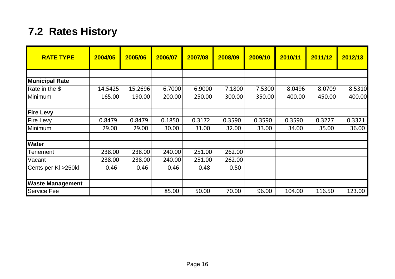# **7.2 Rates History**

| <b>RATE TYPE</b>        | 2004/05 | 2005/06 | 2006/07 | 2007/08 | 2008/09 | 2009/10 | 2010/11 | 2011/12 | 2012/13 |
|-------------------------|---------|---------|---------|---------|---------|---------|---------|---------|---------|
|                         |         |         |         |         |         |         |         |         |         |
| <b>Municipal Rate</b>   |         |         |         |         |         |         |         |         |         |
| Rate in the \$          | 14.5425 | 15.2696 | 6.7000  | 6.9000  | 7.1800  | 7.5300  | 8.0496  | 8.0709  | 8.5310  |
| Minimum                 | 165.00  | 190.00  | 200.00  | 250.00  | 300.00  | 350.00  | 400.00  | 450.00  | 400.00  |
| <b>Fire Levy</b>        |         |         |         |         |         |         |         |         |         |
| <b>Fire Levy</b>        | 0.8479  | 0.8479  | 0.1850  | 0.3172  | 0.3590  | 0.3590  | 0.3590  | 0.3227  | 0.3321  |
| Minimum                 | 29.00   | 29.00   | 30.00   | 31.00   | 32.00   | 33.00   | 34.00   | 35.00   | 36.00   |
| <b>Water</b>            |         |         |         |         |         |         |         |         |         |
| Tenement                | 238.00  | 238.00  | 240.00  | 251.00  | 262.00  |         |         |         |         |
| Vacant                  | 238.00  | 238.00  | 240.00  | 251.00  | 262.00  |         |         |         |         |
| Cents per KI > 250kl    | 0.46    | 0.46    | 0.46    | 0.48    | 0.50    |         |         |         |         |
|                         |         |         |         |         |         |         |         |         |         |
| <b>Waste Management</b> |         |         |         |         |         |         |         |         |         |
| <b>Service Fee</b>      |         |         | 85.00   | 50.00   | 70.00   | 96.00   | 104.00  | 116.50  | 123.00  |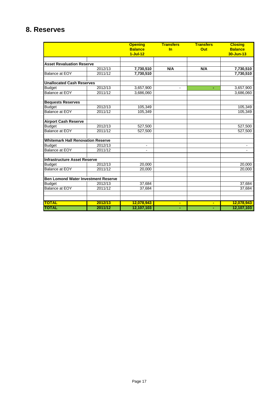# **8. Reserves**

|                                            |         | <b>Opening</b>           | <b>Transfers</b> | <b>Transfers</b> | <b>Closing</b> |
|--------------------------------------------|---------|--------------------------|------------------|------------------|----------------|
|                                            |         | <b>Balance</b>           | In               | Out              | <b>Balance</b> |
|                                            |         | $1-Jul-12$               |                  |                  | 30-Jun-13      |
|                                            |         |                          |                  |                  |                |
| <b>Asset Revaluation Reserve</b>           |         |                          |                  |                  |                |
|                                            | 2012/13 | 7,730,510                | N/A              | N/A              | 7,730,510      |
| Balance at EOY                             | 2011/12 | 7,730,510                |                  |                  | 7,730,510      |
| <b>Unallocated Cash Reserves</b>           |         |                          |                  |                  |                |
| <b>Budget</b>                              | 2012/13 | 3,657,900                | $\blacksquare$   | ٠                | 3,657,900      |
| <b>Balance at EOY</b>                      | 2011/12 | 3,686,060                |                  |                  | 3,686,060      |
| <b>Bequests Reserves</b>                   |         |                          |                  |                  |                |
| <b>Budget</b>                              | 2012/13 | 105,349                  |                  |                  | 105,349        |
| <b>Balance at EOY</b>                      | 2011/12 | 105,349                  |                  |                  | 105,349        |
| <b>Airport Cash Reserve</b>                |         |                          |                  |                  |                |
| <b>Budget</b>                              | 2012/13 | 527,500                  |                  |                  | 527,500        |
| <b>Balance at EOY</b>                      | 2011/12 | 527,500                  |                  |                  | 527,500        |
| <b>Whitemark Hall Renovation Reserve</b>   |         |                          |                  |                  |                |
| <b>Budget</b>                              | 2012/13 | $\overline{\phantom{a}}$ |                  |                  |                |
| <b>Balance at EOY</b>                      | 2011/12 | $\overline{\phantom{a}}$ |                  |                  |                |
| <b>Infrastructure Asset Reserve</b>        |         |                          |                  |                  |                |
| <b>Budget</b>                              | 2012/13 | 20,000                   |                  |                  | 20,000         |
| Balance at EOY                             | 2011/12 | 20.000                   |                  |                  | 20.000         |
| <b>Ben Lomond Water Investment Reserve</b> |         |                          |                  |                  |                |
| <b>Budget</b>                              | 2012/13 | 37,684                   |                  |                  | 37,684         |
| <b>Balance at EOY</b>                      | 2011/12 | 37,684                   |                  |                  | 37,684         |
|                                            |         |                          |                  |                  |                |
| <b>TOTAL</b>                               | 2012/13 | 12,078,943               | ٠                | ٠                | 12,078,943     |
| <b>TOTAL</b>                               | 2011/12 | 12,107,103               |                  | ٠                | 12,107,103     |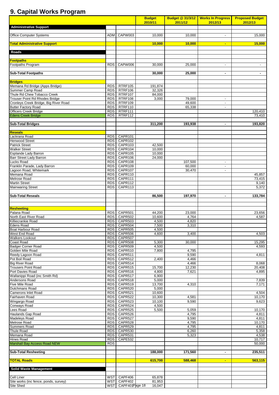# **9. Capital Works Program**

|                                                               |                          |                        | <b>Budget</b><br>2010/11 | 2011/12           | Budget @ 31/3/12   Works In Progress  <br>2012/13    | <b>Proposed Budget</b><br>2012/13 |
|---------------------------------------------------------------|--------------------------|------------------------|--------------------------|-------------------|------------------------------------------------------|-----------------------------------|
| <b>Administrative Support</b>                                 |                          |                        |                          |                   |                                                      |                                   |
| <b>Office Computer Systems</b>                                |                          | ADM CAPW003            | 10,000                   | 10,000            | $\blacksquare$                                       | 15,000                            |
|                                                               |                          |                        |                          |                   |                                                      |                                   |
| <b>Total Administrative Support</b>                           |                          |                        | 10,000                   | 10.000            | $\sim$                                               | 15,000                            |
| Roads                                                         |                          |                        |                          |                   |                                                      |                                   |
|                                                               |                          |                        |                          |                   |                                                      |                                   |
| <b>Footpaths</b>                                              |                          | CAPW006                | 30,000                   |                   |                                                      |                                   |
| Footpaths Program                                             | RDS                      |                        |                          | 25,000            | $\overline{\phantom{a}}$                             | $\sim$                            |
| <b>Sub-Total Footpaths</b>                                    |                          |                        | 30,000                   | 25,000            | $\blacksquare$                                       | $\blacksquare$                    |
| <b>Bridges</b>                                                |                          |                        |                          |                   |                                                      |                                   |
| Memana Rd Bridge (Apps Bridge)                                | RDS                      | RTRF105                | 191,874                  |                   |                                                      |                                   |
| Summer Camp Road                                              | RDS                      | RTRF106                | 32,326                   |                   |                                                      |                                   |
| Thule Rd Chew Tobacco Creek<br>Trouser Point Rd Rhodes Bridge | <b>RDS</b><br>RDS        | RTRF107<br>RTRF108     | 84,000<br>3,000          | 79,000            | $\sim$                                               |                                   |
| Cronleys Creek Bridge, Big River Road                         | <b>RDS</b>               | RTRF109                |                          | 49,600            | $\overline{\phantom{a}}$                             |                                   |
| <b>Butter Factory Road</b>                                    | <b>RDS</b>               | RTRF110                |                          | 65,338            | $\sim$                                               |                                   |
| <b>Officers Creek Bridge</b><br><b>Edens Creek Bridge</b>     | <b>RDS</b><br><b>RDS</b> | RTRF111<br>RTRF112     |                          |                   |                                                      | 120,410<br>73,410                 |
|                                                               |                          |                        |                          |                   |                                                      |                                   |
| <b>Sub-Total Bridges</b>                                      |                          |                        | 311,200                  | 193,938           | $\blacksquare$                                       | 193,820                           |
| <b>Reseals</b>                                                |                          |                        |                          |                   |                                                      |                                   |
| Lackrana Road                                                 | <b>RDS</b>               | CAPR101                |                          |                   |                                                      |                                   |
| <b>Henwood Street</b><br><b>Patrick Street</b>                | <b>RDS</b>               | CAPR102<br>CAPR103     | 42,500                   |                   |                                                      |                                   |
| <b>Walker Street</b>                                          | RDS<br><b>RDS</b>        | CAPR104                | 10,000                   |                   |                                                      |                                   |
| Esplande Lady Barron                                          | <b>RDS</b>               | CAPR105                | 10,000                   |                   |                                                      |                                   |
| Barr Street Lady Barron<br>Lucks Road                         | RDS I                    | CAPR106<br>CAPR108     | 24,000                   |                   |                                                      |                                   |
| Franklin Parade, Lady Barron                                  | RDS  <br>RDS I           | CAPR109                |                          | 107,500<br>60,000 | $\overline{\phantom{a}}$<br>$\overline{\phantom{a}}$ |                                   |
| Lagoon Road, Whitemark                                        | RDS                      | CAPR107                |                          | 30,470            | $\overline{\phantom{a}}$                             |                                   |
| Memana Road<br>Melrose Road                                   | <b>RDS</b>               | RDS CAPR110<br>CAPR111 |                          |                   |                                                      | 45,857<br>73,415                  |
| <b>Martin Street</b>                                          | RDS I                    | CAPR112                |                          |                   |                                                      | 9,140                             |
| <b>Mainwaring Street</b>                                      | RDS                      | CAPR113                |                          |                   |                                                      | 5,372                             |
| <b>Sub-Total Reseals</b>                                      |                          |                        | 86,500                   | 197,970           | ٠                                                    | 133,784                           |
|                                                               |                          |                        |                          |                   |                                                      |                                   |
| <b>Resheeting</b>                                             |                          |                        |                          |                   |                                                      |                                   |
| Palana Road                                                   |                          | RDS CAPR501            | 44,200                   | 23,000            |                                                      | 23.656                            |
| North East River Road                                         |                          | RDS CAPR502            | 10,600                   | 4,764             |                                                      | 4,587                             |
| Killiecrankie Road<br><b>Edens Road</b>                       | <b>RDS</b>               | CAPR503<br>RDS CAPR504 | 4,500<br>7.500           | 4,820<br>3.310    |                                                      |                                   |
| Boat Harbour Road                                             |                          | RDS CAPR505            | 4,500                    |                   |                                                      |                                   |
| West End Road                                                 |                          | RDS CAPR506            | 4,600                    | 3,400             |                                                      | 4,503                             |
| <b>Walkers Lookout</b><br>Coast Road                          | <b>RDS</b>               | CAPR507<br>RDS CAPR508 | 5,300                    | 30,000            |                                                      | 15,295                            |
| <b>Badger Corner Road</b>                                     | RDS                      | CAPR509                | 4,500                    |                   |                                                      | 4,593                             |
| Golden Mile Road<br>Reedy Lagoon Road                         | <b>RDS</b>               | CAPR510<br>CAPR511     | 7,800                    | 4,795<br>9,590    |                                                      |                                   |
| Pot Boil Road                                                 | RDS<br><b>RDS</b>        | CAPR512                | 2,400                    | 4,466             |                                                      | 4,811                             |
| <b>Big River Road</b>                                         | RDS                      | CAPR514                |                          | 4,466             |                                                      | 8,068                             |
| <b>Trousers Point Road</b><br>Port Davies Road                | <b>RDS</b>               | RDS CAPR515<br>CAPR516 | 15,700<br>4,800          | 12,230<br>7,621   |                                                      | 20,408<br>4,895                   |
| Wallanippi Road (inc Smith Rd)                                | RDS                      | CAPR517                | 6,900                    |                   |                                                      |                                   |
| Andersons Road                                                | <b>RDS</b>               | CAPR518                | 5,000                    |                   |                                                      | 7,839                             |
| Five Mile Road<br>Dutchmans Road                              | RDS  <br><b>RDS</b>      | CAPR519<br>CAPR520     | 13.700<br>5,000          | 4,310             |                                                      | 7,171                             |
| Camerons Inlet Road                                           | <b>RDS</b>               | CAPR521                | 10,600                   |                   |                                                      | 4,504                             |
| Fairhaven Road                                                | RDS                      | CAPR522                | 10,300                   | 4,581             |                                                      | 10,170                            |
| Wingargo Road<br>Conways Road                                 | RDS  <br>RDS             | CAPR523<br>CAPR524     | 10,100<br>4,500          | 9,590             |                                                      | 9,623                             |
| Lees Road                                                     | <b>RDS</b>               | CAPR525                | 5,500                    | 5,059             |                                                      | 10,170                            |
| Haulands Gap Road<br>Madeleys Road                            | RDS<br>RDS               | CAPR526<br>CAPR527     |                          | 4,795<br>9,590    |                                                      | 4,811<br>4,811                    |
| Melrose Road                                                  | RDS                      | CAPR528                |                          | 4,795             |                                                      | 10,170                            |
| Summers Road                                                  | RDS                      | CAPR529                |                          | 4,795             |                                                      | 4,811                             |
| Thule Road<br>Memana Road                                     | <b>RDS</b><br>RDS        | CAPR530<br>CAPR531     |                          | 6,260<br>5,323    |                                                      | 5,358<br>4,538                    |
| Hines Road                                                    | <b>RDS</b>               | CAPE532                |                          |                   |                                                      | 10,717                            |
| Marshall Bay Access Road NEW                                  | <b>RDS</b>               |                        |                          |                   |                                                      | 50,000                            |
| <b>Sub-Total Resheeting</b>                                   |                          |                        | 188,000                  | 171,560           | $\blacksquare$                                       | 235,511                           |
|                                                               |                          |                        |                          |                   |                                                      |                                   |
| <b>TOTAL Roads</b>                                            |                          |                        | 615,700                  | 588,468           | $\sim$                                               | 563,115                           |
| <b>Solid Waste Management</b>                                 |                          |                        |                          |                   |                                                      |                                   |
|                                                               |                          |                        |                          |                   |                                                      |                                   |
| Cell Liner<br>Site works (inc fence, ponds, survey)           | <b>WST</b><br><b>WST</b> | CAPF406<br>CAPF402     | 65,878<br>81,953         |                   |                                                      |                                   |
| Site Shed                                                     | <b>WST</b>               | CAPF401Page 18         | 16,047                   |                   |                                                      |                                   |
|                                                               |                          |                        |                          |                   |                                                      |                                   |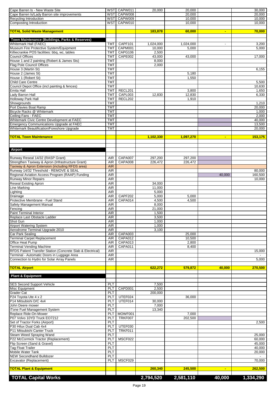| Cape Barren Is - New Waste Site                                                               |                          | WST CAPW011    | 20,000          | 20,000         |                | 30,000    |
|-----------------------------------------------------------------------------------------------|--------------------------|----------------|-----------------|----------------|----------------|-----------|
| Cape Barren Is/Lady Barron site improvements                                                  |                          | WST CAPW008    |                 | 20,000         |                | 20,000    |
| Recycling Introduction                                                                        |                          | WST CAPW009    |                 | 10,000         |                | 10,000    |
| Composting Introduction                                                                       |                          | WST CAPW010    |                 | 10,000         |                | 10,000    |
| <b>TOTAL Solid Waste Management</b>                                                           |                          |                | 183,878         | 60,000         | ٠              | 70,000    |
|                                                                                               |                          |                |                 |                |                |           |
| Town Maintenance (Buildings, Parks & Reserves)                                                |                          |                |                 |                |                |           |
| Whitemark Hall (FAEC)                                                                         | <b>TMT</b>               | CAPF101        | 1,024,000       | 1,024,000      |                | 3,200     |
| Museum Fire Protective System/Equipment                                                       | <b>TMT</b>               | CAPM001        | 10,000          | 5,000          |                | 5,000     |
| Killiecrankie POS facilities: bbq, wc, tables                                                 | <b>TMT</b>               | CAPG106        | 2,500           |                |                |           |
| <b>Council Offices</b>                                                                        | <b>TMT</b>               | CAPE002        | 43,000          | 43,000         |                | 17,000    |
| House 1 and 2 painting (Robert & James Sts)                                                   | <b>TMT</b>               |                | 8,000           |                |                |           |
| Flag Pole Council Offices                                                                     | <b>TMT</b>               |                | 2,000           |                |                |           |
| House 3 (Martin St)                                                                           | <b>TMT</b><br><b>TMT</b> |                |                 |                |                | 6,155     |
| House 2 (James St)<br>House 1 (Robert St)                                                     | <b>TMT</b>               |                |                 | 5,180<br>1,550 |                |           |
| <b>Child Care Centre</b>                                                                      | <b>TMT</b>               |                |                 |                |                | 5,500     |
| Council Depot Office (incl painting & fences)                                                 | <b>TMT</b>               |                |                 |                |                | 10,630    |
| Emita Hall                                                                                    | <b>TMT</b>               | RECL201        |                 | 3,800          |                | 1,650     |
| ady Barron Hall                                                                               | <b>TMT</b>               | CAPL003        | 12,830          | 12,830         |                | 6,330     |
| <b>Holloway Park Hall</b>                                                                     | тмт                      | RECL202        |                 | 1,910          |                |           |
| Showgrounds                                                                                   | <b>TMT</b>               |                |                 |                |                | 1,210     |
| Port Davies Boat Ramp                                                                         | TMT                      |                |                 |                |                | 20,000    |
| Bicycle Racks @ Whitemark                                                                     | <b>TMT</b>               |                |                 |                |                | 1,000     |
| Ceiling Fans - FAEC                                                                           | TMT                      |                |                 |                |                | 2,000     |
| Whitemark Civic Centre Development at FAEC                                                    | TMT                      |                |                 |                |                | 40.000    |
| <b>Emergency Communications Upgrade at FAEC</b><br>Whitemark Beautification/Foreshore Upgrade | TMT<br><b>TMT</b>        |                |                 |                |                | 13,500    |
|                                                                                               |                          |                |                 |                |                | 20,000    |
| <b>TOTAL Town Maintenance</b>                                                                 |                          |                | 1,102,330       | 1,097,270      | ٠              | 153,175   |
|                                                                                               |                          |                |                 |                |                |           |
|                                                                                               |                          |                |                 |                |                |           |
| Airport                                                                                       |                          |                |                 |                |                |           |
|                                                                                               |                          |                |                 |                |                |           |
| Runway Reseal 14/32 (RASP Grant)                                                              | AIR                      | CAPA007        | 297,200         | 297,200        |                |           |
| Strengthen Taxiway & Apron (Infrastructure Grant)                                             | AIR                      | CAPA008        | 226,472         | 226,472        |                |           |
| Taxiway & Apron Extension (including RFDS area)                                               | <b>AIR</b>               |                |                 |                |                |           |
| Runway 14/32 Threshold - REMOVE & SEAL                                                        | <b>AIR</b>               |                |                 |                |                | 80,000    |
| Regional Aviation Access Program (RAAP) Funding                                               | AIR                      |                |                 |                | 40,000         | 160,500   |
| <b>Runway Minor Repairs</b>                                                                   | <b>AIR</b>               |                |                 |                |                | 10,000    |
| <b>Reseal Existing Apron</b>                                                                  | AIR<br><b>AIR</b>        |                | 34,000          |                |                |           |
| ine Marking<br>Lighting                                                                       | AIR                      |                | 11,000<br>5,000 |                |                |           |
| Drainage                                                                                      | AIR                      | CAPF202        | 5,000           | 5,000          |                |           |
| Protective Membrane - Fuel Stand                                                              | AIR                      | CAPA014        | 4,500           | 4,500          |                |           |
| Safety Management Manual                                                                      | <b>AIR</b>               |                | 8,000           |                |                |           |
| Fencing                                                                                       | AIR                      |                | 21,000          |                |                |           |
| <b>Paint Terminal Interior</b>                                                                | <b>AIR</b>               |                | 1,500           |                |                |           |
| Replace Last Obstacle Ladder                                                                  | AIR                      |                | 3,500           |                |                |           |
| Shot Gun                                                                                      | <b>AIR</b>               |                | 1,000           |                |                |           |
| <b>Airport Watering System</b>                                                                | AIR                      |                | 1,000           |                |                |           |
| Aerodrome Terminal Upgrade 2010                                                               | AIR                      |                | 3,100           |                |                |           |
| <b>Car Park Sealing</b>                                                                       | AIR                      | CAPA003        |                 | 25,000         |                |           |
| <b>Terminal Carpet Replacement</b>                                                            | AIR                      | CAPA012        |                 | 10,500         |                |           |
| Office Heat Pump                                                                              | AIR                      | CAPA013        |                 | 2,800          |                |           |
| <b>Terminal Vending Machine</b><br>RFDS Patient Transfer Station (Concrete Slab & Electrical) | AIR<br>AIR               | CAPA011        |                 | 8,400          |                | 15,000    |
| Ferminal - Automatic Doors in Luggage Area                                                    | <b>AIR</b>               |                |                 |                |                |           |
| Connection to Hydro for Solar Array Panels                                                    | AIR                      |                |                 |                |                | 5,000     |
|                                                                                               |                          |                |                 |                |                |           |
| <b>TOTAL Airport</b>                                                                          |                          |                | 622,272         | 579,872        | 40,000         | 270,500   |
|                                                                                               |                          |                |                 |                |                |           |
| <b>Plant &amp; Equipment</b>                                                                  |                          |                |                 |                |                |           |
|                                                                                               |                          |                |                 |                |                |           |
| <b>SES Second Support Vehicle</b><br>Misc Equipment                                           | PLT                      |                | 7,500           |                |                |           |
|                                                                                               | PLT                      | CAPD001        | 2,500           |                |                |           |
| Grader Cat<br>P24 Toyota Ute 4 x 2                                                            | PLT<br>PLT               | UTEF024        | 200,000         |                |                |           |
| P14 Mitsubishi D/C 4x4                                                                        | PLT                      | UTEF014        | 30,000          | 36,000         |                |           |
| John Deere mower                                                                              | PLT                      |                | 7,000           |                |                |           |
| iTone Fuel Management System                                                                  | PLT                      |                | 13,340          |                |                |           |
| Replace Ride-On-Mower                                                                         | PLT                      | MOWF001        |                 | 7,000          |                |           |
| P07 Volvo 10YD Truck EO7212                                                                   | PLT                      | <b>TRKF007</b> |                 | 202,500        |                |           |
| Set of Tractor Forks (Airport)                                                                | PLT                      |                |                 |                |                | 2,500     |
| P30 Hilux Dual Cab 4x4                                                                        | PLT                      | UTEF030        |                 |                |                |           |
| P11 Mitsubishi Canter Truck                                                                   | PLT                      | TRKF011        |                 |                |                |           |
| Steam Weed Spraying Wand                                                                      | PLT                      |                |                 |                |                | 25,000    |
| P22 McCormick Tractor (Replacement)                                                           | PLT                      | MSCF022        |                 |                |                | 60,000    |
| Flip Screen (Sand & Gravel)                                                                   | PLT                      |                |                 |                |                | 45,000    |
| <b>Tag Float Trailer</b>                                                                      | PLT                      |                |                 |                |                | 40,000    |
| Mobile Water Tank<br><b>NEW Secondhand Bulldozer</b>                                          | PLT<br>PLT               |                |                 |                |                | 20,000    |
| Excavator (Replacement)                                                                       | PLT                      | MSCF029        |                 |                |                | 70,000    |
|                                                                                               |                          |                |                 |                |                |           |
| <b>TOTAL Plant &amp; Equipment</b>                                                            |                          |                | 260,340         | 245,500        | $\blacksquare$ | 262,500   |
|                                                                                               |                          |                |                 |                |                |           |
| <b>TOTAL Capital Works</b>                                                                    |                          |                | 2,794,520       | 2,581,110      | 40,000         | 1,334,290 |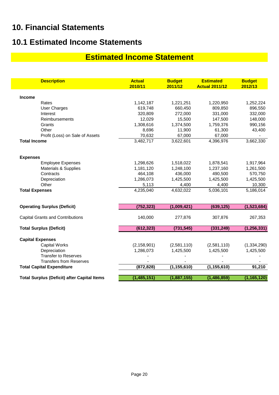# **10. Financial Statements**

# **10.1 Estimated Income Statements**

# **Estimated Income Statement**

| <b>Description</b>                                 | <b>Actual</b><br>2010/11 | <b>Budget</b><br>2011/12 | <b>Estimated</b><br><b>Actual 2011/12</b> | <b>Budget</b><br>2012/13 |
|----------------------------------------------------|--------------------------|--------------------------|-------------------------------------------|--------------------------|
| <b>Income</b>                                      |                          |                          |                                           |                          |
| Rates                                              | 1,142,187                | 1,221,251                | 1,220,950                                 | 1,252,224                |
| <b>User Charges</b>                                | 619,748                  | 660,450                  | 809,850                                   | 896,550                  |
| Interest                                           | 320,809                  | 272,000                  | 331,000                                   | 332,000                  |
| Reimbursements                                     | 12,029                   | 15,500                   | 147,500                                   | 148,000                  |
| Grants                                             | 1,308,616                | 1,374,500                | 1,759,376                                 | 990,156                  |
| Other                                              | 8,696                    | 11,900                   | 61,300                                    | 43,400                   |
| Profit (Loss) on Sale of Assets                    | 70,632                   | 67,000                   | 67,000                                    |                          |
| <b>Total Income</b>                                | 3,482,717                | 3,622,601                | 4,396,976                                 | 3,662,330                |
| <b>Expenses</b>                                    |                          |                          |                                           |                          |
| <b>Employee Expenses</b>                           | 1,298,626                | 1,518,022                | 1,878,541                                 | 1,917,964                |
| <b>Materials &amp; Supplies</b>                    | 1,181,120                | 1,248,100                | 1,237,160                                 | 1,261,500                |
| Contracts                                          | 464,108                  | 436,000                  | 490,500                                   | 570,750                  |
| Depreciation                                       | 1,286,073                | 1,425,500                | 1,425,500                                 | 1,425,500                |
| Other                                              | 5,113                    | 4,400                    | 4,400                                     | 10,300                   |
| <b>Total Expenses</b>                              | 4,235,040                | 4,632,022                | 5,036,101                                 | 5,186,014                |
| <b>Operating Surplus (Deficit)</b>                 | (752, 323)               | (1,009,421)              | (639, 125)                                | (1,523,684)              |
| <b>Capital Grants and Contributions</b>            | 140,000                  | 277,876                  | 307,876                                   | 267,353                  |
| <b>Total Surplus (Deficit)</b>                     | (612, 323)               | (731, 545)               | (331, 249)                                | (1, 256, 331)            |
| <b>Capital Expenses</b>                            |                          |                          |                                           |                          |
| <b>Capital Works</b>                               | (2, 158, 901)            | (2,581,110)              | (2,581,110)                               | (1, 334, 290)            |
| Depreciation                                       | 1,286,073                | 1,425,500                | 1,425,500                                 | 1,425,500                |
| <b>Transfer to Reserves</b>                        |                          |                          |                                           |                          |
| <b>Transfers from Reserves</b>                     |                          |                          |                                           |                          |
| <b>Total Capital Expenditure</b>                   | (872, 828)               | (1, 155, 610)            | (1, 155, 610)                             | 91,210                   |
| <b>Total Surplus (Deficit) after Capital Items</b> | (1,485,151)              | (1,887,155)              | (1,486,859)                               | (1, 165, 120)            |
|                                                    |                          |                          |                                           |                          |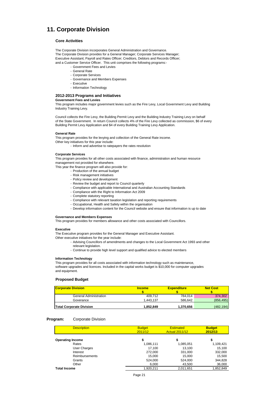# **11. Corporate Division**

#### **Core Activities**

The Corporate Division incorporates General Administration and Governance. The Corporate Division provides for a General Manager; Corporate Services Manager; Executive Assistant; Payroll and Rates Officer; Creditors, Debtors and Records Officer; and a Customer Service Officer. This unit comprises the following programs:-

- Government Fees and Levies
- General Rate
- Corporate Services
- Governance and Members Expenses
- Executive
- Information Technology

#### **2012-2013 Programs and Initiatives**

#### **Government Fees and Levies**

This program includes major government levies such as the Fire Levy, Local Government Levy and Building Industry Training Levy.

Council collects the Fire Levy, the Building Permit Levy and the Building Industry Training Levy on behalf of the State Government. In return Council collects 4% of the Fire Levy collected as commission, \$6 of every Building Permit Levy Application and \$4 of every Building Training Levy Application.

#### **General Rate**

This program provides for the levying and collection of the General Rate income.

Other key initiatives for this year include:

- Inform and advertise to ratepayers the rates resolution

#### **Corporate Services**

This program provides for all other costs associated with finance, administration and human resource management not provided for elsewhere.

This year the finance program will also provide for:

- Production of the annual budget
- Risk management initiatives
- Policy review and development
- Review the budget and report to Council quarterly
- Compliance with applicable International and Australian Accounting Standards
- Compliance with the Right to Information Act 2009
- Complete statutory reporting
- Compliance with relevant taxation legislation and reporting requirements
- Occupational, Health and Safety within the organisation
- Develop information content for the Council website and ensure that information is up to date

#### **Governance and Members Expenses**

This program provides for members allowance and other costs associated with Councillors.

#### **Executive**

The Executive program provides for the General Manager and Executive Assistant.

- Other executive initiatives for the year include:
	- Advising Councillors of amendments and changes to the Local Government Act 1993 and other
	- relevant legislation.
	- Continue to provide high level support and qualified advice to elected members

#### **Information Technology**

This program provides for all costs associated with information technology such as maintenance, software upgrades and licences. Included in the capital works budget is \$10,000 for computer upgrades and equipment.

#### **Proposed Budget**

| <b>Corporate Division</b>       | <b>Income</b> | <b>Expenditure</b> | <b>Net Cost</b> |
|---------------------------------|---------------|--------------------|-----------------|
|                                 |               |                    |                 |
| General Administration          | 409.712       | 784.014            | 374.302         |
| Goverance                       | 1.443.137     | 586.642            | (856, 495)      |
| <b>Total Corporate Division</b> | 1.852.849     | 1,370,656          | (482,194)       |

#### **Program:** Corporate Division

| <b>Description</b>      | <b>Budget</b><br>2011/12 | <b>Estimated</b><br><b>Actual 2011/12</b> | <b>Budget</b><br>2012/13 |
|-------------------------|--------------------------|-------------------------------------------|--------------------------|
| <b>Operating Income</b> | \$                       | \$                                        | \$                       |
| Rates                   | 1,086,111                | 1,085,051                                 | 1,109,421                |
| User Charges            | 17.100                   | 13.100                                    | 15,100                   |
| Interest                | 272,000                  | 331,000                                   | 332,000                  |
| <b>Reimbursements</b>   | 15.000                   | 15,000                                    | 15,500                   |
| Grants                  | 524,000                  | 524,000                                   | 344,828                  |
| Other                   | 6,000                    | 43,500                                    | 36,000                   |
| <b>Total Income</b>     | 1.920.211                | 2.011.651                                 | 1.852.849                |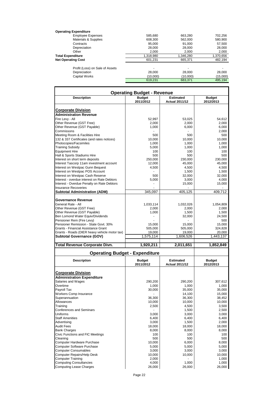| <b>Operating Expenditure</b>    |                          |                |           |
|---------------------------------|--------------------------|----------------|-----------|
| <b>Employee Expenses</b>        | 585,680                  | 663,280        | 702,256   |
| Materials & Supplies            | 608,300                  | 562,000        | 580,900   |
| Contracts                       | 95,000                   | 91,000         | 57,500    |
| Depreciation                    | 28,000                   | 28,000         | 28,000    |
| Other                           | 2.000                    | 2.000          | 2,000     |
| <b>Total Expenditure</b>        | 1,318,980                | 1,346,280      | 1,370,656 |
| <b>Net Operating Cost</b>       | 601.231                  | 665.371        | 482.194   |
| Profit (Loss) on Sale of Assets | $\overline{\phantom{0}}$ | $\blacksquare$ |           |
| Depreciation                    | 28,000                   | 28,000         | 28,000    |
| Capital Works                   | (10,000)                 | (10,000)       | (15,000)  |
|                                 | 619.231                  | 683,371        | 495.194   |

| <b>Operating Budget - Revenue</b>                                |                            |                                           |                            |  |  |  |
|------------------------------------------------------------------|----------------------------|-------------------------------------------|----------------------------|--|--|--|
| <b>Description</b>                                               | <b>Budget</b>              | <b>Estimated</b>                          | <b>Budget</b>              |  |  |  |
|                                                                  | 2011/2012                  | <b>Actual 2011/12</b>                     | 2012/2013                  |  |  |  |
| Corporate Division                                               |                            |                                           |                            |  |  |  |
| <b>Administration Revenue</b>                                    |                            |                                           |                            |  |  |  |
| Fire Levy - All                                                  | 52,997                     | 53,025                                    | 54,612                     |  |  |  |
| Other Revenue (GST Free)                                         | 2,000                      | 2,000                                     | 2,000                      |  |  |  |
| Other Revenue (GST Payable)                                      | 1,000                      | 6,000                                     | 6,000                      |  |  |  |
| Commissons                                                       |                            |                                           | 2,000                      |  |  |  |
| Meeting Room & Facilities Hire                                   | 500                        | 500                                       | 500                        |  |  |  |
| 132 & 337 Certificates (and rates notices)                       | 10,000                     | 10,000                                    | 10,000                     |  |  |  |
| Photocopies/Facsimiles                                           | 1,000                      | 1,000                                     | 1,000                      |  |  |  |
| <b>Training Subsidy</b>                                          | 5,000                      | 1,000                                     | 1,000                      |  |  |  |
| <b>Equipment Hire</b><br>Hall & Sports Stadiums Hire             | 100<br>500                 | 100<br>500                                | 100<br>500                 |  |  |  |
| Interest on short term deposits                                  | 250,000                    | 230,000                                   | 230,000                    |  |  |  |
| Interest Tascorp 11am investment account                         | 12,000                     | 45,000                                    | 45,000                     |  |  |  |
| Interest on Westpac Gunn Bequest                                 | 4,500                      | 4,500                                     | 4,500                      |  |  |  |
| Interest on Westpac POS Account                                  |                            | 1,500                                     | 1,500                      |  |  |  |
| Interest on Westpac Cash Reserve                                 | 500                        | 32,000                                    | 32,000                     |  |  |  |
| Interest - overdue interest on Rate Debtors                      | 5,000                      | 3,000                                     | 4,000                      |  |  |  |
| Interest - Overdue Penalty on Rate Debtors                       |                            | 15,000                                    | 15,000                     |  |  |  |
| <b>Insurance Recoveries</b>                                      |                            |                                           |                            |  |  |  |
| <b>Subtotal Administration (ADM)</b>                             | 345,097                    | 405,125                                   | 409,712                    |  |  |  |
| <b>Governance Revenue</b>                                        |                            |                                           |                            |  |  |  |
| General Rate - All                                               | 1,033,114                  | 1,032,026                                 | 1,054,809                  |  |  |  |
| Other Revenue (GST Free)                                         | 2,000                      | 2,000                                     | 2,000                      |  |  |  |
| Other Revenue (GST Payable)                                      | 1,000                      | 1,500                                     | 1,500                      |  |  |  |
| Ben Lomond Water Equiv/Dividends                                 |                            | 32,000                                    | 24,500                     |  |  |  |
| Pensioner Rem (Fire Levy)                                        |                            |                                           | 500                        |  |  |  |
| Pensioner Remission - State Govt. 30%                            | 15,000                     | 15,000                                    | 15,000                     |  |  |  |
| Grants - Financial Assistance Grant                              | 505,000                    | 505,000                                   | 324,828                    |  |  |  |
|                                                                  |                            |                                           |                            |  |  |  |
| Grants - Roads (DIER heavy vehicle motor tax)                    | 19,000                     | 19,000                                    | 20,000                     |  |  |  |
| Subtotal Governance (GOV)                                        | 1,575,114                  | 1,606,526                                 | 1,443,137                  |  |  |  |
|                                                                  |                            |                                           |                            |  |  |  |
| <b>Total Revenue Corporate Divn.</b>                             | 1,920,211                  | 2,011,651                                 | 1,852,849                  |  |  |  |
| <b>Operating Budget - Expenditure</b>                            |                            |                                           |                            |  |  |  |
| <b>Description</b>                                               | <b>Budget</b><br>2011/2012 | <b>Estimated</b><br><b>Actual 2011/12</b> | <b>Budget</b><br>2012/2013 |  |  |  |
|                                                                  |                            |                                           |                            |  |  |  |
| <b>Corporate Division</b>                                        |                            |                                           |                            |  |  |  |
| <b>Administration Expenditure</b>                                |                            |                                           |                            |  |  |  |
| Salaries and Wages<br>Overtime                                   | 290,200                    | 290,200                                   | 307,612                    |  |  |  |
|                                                                  | 1,000                      | 1,000<br>35,000                           | 1,000                      |  |  |  |
| Payroll Tax<br>Workers Comp Insurance                            | 30,000                     | 14,100                                    | 35,000<br>15,000           |  |  |  |
| Superannuation                                                   | 36,300                     | 36.300                                    | 38,452                     |  |  |  |
| Allowances                                                       | 10,000                     | 10,000                                    | 10,000                     |  |  |  |
| Training                                                         | 2,500                      | 4,500                                     | 3,500                      |  |  |  |
| <b>Conferences and Seminars</b>                                  |                            | 1,500                                     | 2,500                      |  |  |  |
| Uniforms                                                         | 3,000                      | 3,000                                     | 3,000                      |  |  |  |
| <b>Staff Amenities</b>                                           | 6,400                      | 6,400                                     | 6,400                      |  |  |  |
| Advertising                                                      | 3,000                      | 1,500                                     | 2,000                      |  |  |  |
| <b>Audit Fees</b>                                                | 18,000                     | 18,000                                    | 18,000                     |  |  |  |
| <b>Bank Charges</b>                                              | 8,000                      | 8,000                                     | 8,000                      |  |  |  |
| Civic Functions and FIC Meetings                                 | 100                        | 100                                       | 100                        |  |  |  |
| Cleaning                                                         | 500                        | 500                                       | 500                        |  |  |  |
| Computer Hardware Purchase                                       | 10,000                     | 6,000                                     | 8,000                      |  |  |  |
| <b>Computer Software Purchase</b>                                | 5,000                      | 5,000                                     | 5,000                      |  |  |  |
| <b>Computer Consumables</b>                                      | 3,000                      | 3,000                                     | 3,000                      |  |  |  |
| <b>Computer Repairs/Help Desk</b>                                | 10,000                     | 10,000                                    | 10,000                     |  |  |  |
| <b>Computer Training</b>                                         | 2,000                      |                                           | 1,000                      |  |  |  |
| <b>Computing Consultancies</b><br><b>Computing Lease Charges</b> | 4,000<br>26,000            | 1,000<br>26,000                           | 1,000<br>26,000            |  |  |  |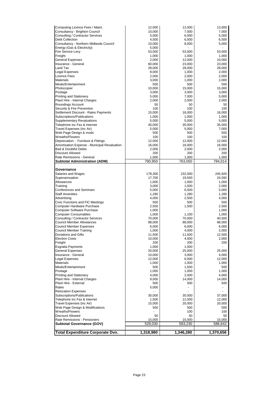| Computing Licence Fees / Maint.                                   | 12,000           | 12,000           | 13,000           |
|-------------------------------------------------------------------|------------------|------------------|------------------|
| Consultancy - Brighton Council                                    | 10,000           | 7,000            | 7,000            |
| Consulting / Contractor Services                                  | 5,000            | 6,000            | 5,000            |
| <b>Debt Collection</b><br>Consultancy - Northern Midlands Council | 4,500<br>10,000  | 6,500<br>8,000   | 6,500<br>5,000   |
| Energy (Gas & Electricity)                                        | 5,000            |                  |                  |
| Fire Service Levy                                                 | 53,000           | 53,000           | 53,000           |
| Freight                                                           | 1,000            | 1,000            | 1,000            |
| <b>General Expenses</b>                                           | 2,000            | 12,000           | 10,000           |
| Insurance - General                                               | 60,000           | 23,000           | 23,000           |
| Land Tax                                                          | 28,000           | 28,000           | 28,000           |
| Legal Expenses                                                    | 8,000            | 1,000            | 2,000            |
| Licence Fees<br>Materials                                         | 2,000            | 2,000            | 2,000            |
| Meals/Entertainment                                               | 3,000<br>500     | 1,000<br>500     | 2,000<br>500     |
| Photocopier                                                       | 10,000           | 15,000           | 15,000           |
| Postage                                                           | 3,000            | 3,000            | 3,000            |
| <b>Printing and Stationery</b>                                    | 5,000            | 7,000            | 5,000            |
| Plant Hire - Internal Charges                                     | 2,000            | 2,000            | 2,000            |
| Roundings Account                                                 | 50               | 50               | 50               |
| Security & Fire Prevention                                        | 100              | 100              | 100              |
| Settlement Discount - Rates Payments                              | 15,000           | 16,000           | 16,000           |
| Subscriptions/Publications<br><b>Supplementary Revaluations</b>   | 1,000            | 1,000            | 1,000            |
| Telephone inc Fax & Internet                                      | 5,000<br>40,000  | 5,000<br>35,000  | 5,000<br>35,000  |
| Travel Expenses (inc Air)                                         | 5,000            | 5,000            | 7,000            |
| Web Page Design & mods                                            | 500              | 500              | 500              |
| Wreaths/Flowers                                                   | 100              | 100              | 100              |
| Depreciation - Furniture & Fittings                               | 12,000           | 12,000           | 12,000           |
| Amortisation Expense - Municipal Revaluation                      | 16,000           | 16,000           | 16,000           |
| Bad & Doubtful Debts                                              | 2,000            | 2,000            | 2,000            |
| Discount Allowed<br>Rate Remissions - General                     | 200              | 200              | 200              |
| Subtotal Administration (ADM)                                     | 1,000<br>790,950 | 1,000<br>763,050 | 1,000<br>784,014 |
|                                                                   |                  |                  |                  |
| Governance                                                        |                  |                  |                  |
| Salaries and Wages                                                | 178,300          | 232,000          | 245,920          |
| Superannuation                                                    | 17,700           | 19,500           | 24,592           |
| Allowances                                                        | 1,000            | 1,000            | 1,000            |
| Training                                                          | 3,000            | 1,000            | 2,000            |
| <b>Conferences and Seminars</b>                                   | 5,000            | 6,500            | 5,000            |
| <b>Staff Amenities</b><br>Advertising                             | 1,280<br>4,000   | 1,280<br>2,500   | 1,280<br>4,000   |
| Civic Functions and FIC Meetings                                  | 500              | 500              | 500              |
| Computer Hardware Purchase                                        | 2,500            | 1,500            | 2,500            |
| <b>Computer Software Purchase</b>                                 | 1,000            |                  | 1,000            |
| <b>Computer Consumables</b>                                       | 1,000            | 1,100            | 1,000            |
| Consulting / Contractor Services                                  | 70,000           | 70,000           | 40,500           |
| <b>Council Member Allowances</b>                                  | 88,000           | 88,000           | 88,000           |
| Council Member Expenses                                           | 6,000            | 6,000            | 6,000            |
| Council Member Training<br>Donations and Gifts                    | 1,000            | 4,000            | 2,000            |
| <b>Election Costs</b>                                             | 11,500<br>10,000 | 11,500<br>4,000  | 12,500<br>2,000  |
| Freight                                                           | 200              | 200              | 200              |
| <b>Exgratia Payments</b>                                          | 1,000            | 1,000            |                  |
| <b>General Expenses</b>                                           | 20,000           | 25,000           | 25,000           |
| Insurance - General                                               | 10,000           | 3,000            | 4,000            |
| Legal Expenses                                                    | 12,000           | 6,000            | 12,000           |
| Materials                                                         | 1,000            | 1,000            | 1,000            |
| Meals/Entertainment                                               | 500              | 1,500            | 500              |
| Postage<br><b>Printing and Stationery</b>                         | 1,000<br>4,000   | 1,000<br>2,000   | 1,000<br>4,000   |
| Plant Hire - Internal Charges                                     | 9,000            | 14,000           | 14,000           |
| Plant Hire - External                                             | 500              | 500              | 500              |
| Rates                                                             | 5,000            |                  |                  |
| <b>Relocation Expenses</b>                                        |                  |                  |                  |
| Subscriptions/Publications                                        | 30,000           | 30,000           | 37,000           |
| Telephone inc Fax & Internet                                      | 1,500            | 12,000           | 12,000           |
| Travel Expenses (inc Air)                                         | 15,000           | 20,000           | 20,000           |
| Web Page Design & Modifications                                   | 500              | 500              | 500              |
| Wreaths/Flowers<br>Discount Allowed                               | 50               | 100<br>50        | 100<br>50        |
| Rate Remissions - Pensioners                                      | 15,000           | 15,000           | 15,000           |
| Subtotal Governance (GOV)                                         | 528,030          | 583,230          | 586,642          |
|                                                                   |                  |                  |                  |
| <b>Total Expenditure Corporate Dvn.</b>                           | 1,318,980        | 1,346,280        | 1,370,656        |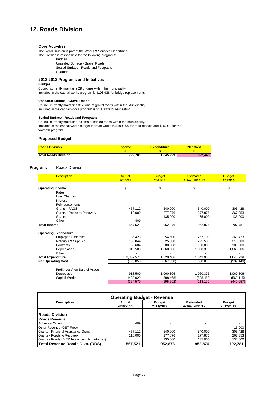# **12. Roads Division**

#### **Core Activities**

The Road Division is part of the Works & Services Department. The Division is responsible for the following programs:

- Bridges
- Unsealed Surface Gravel Roads
- Sealed Surface Roads and Footpaths
- Quarries

#### **2012-2013 Programs and Initiatives**

#### **Bridges**

Council currently maintains 29 bridges within the municipality. Included in the capital works program is \$193,938 for bridge replacements

#### **Unsealed Surface - Gravel Roads**

Council currently maintains 312 kms of gravel roads within the Municipality. Included in the capital works program is \$180,000 for resheeting

#### **Sealed Surface - Roads and Footpaths**

Council currently maintains 73 kms of sealed roads within the municipality. Included in the capital works budget for road works is \$180,000 for road reseals and \$25,000 for the footpath program.

#### **Proposed Budget**

| <b>Roads Division</b>       | <b>Income</b> | <b>Expenditure</b> | <b>Net Cost</b> |  |
|-----------------------------|---------------|--------------------|-----------------|--|
|                             |               |                    |                 |  |
| <b>Total Roads Division</b> | 722.781       | 1.645.229          | 922,448         |  |

#### **Program:** Roads Division

| <b>Description</b>              | <b>Actual</b><br>2010/11 | <b>Budget</b><br>2011/12 | <b>Estimated</b><br><b>Actual 2011/12</b> | <b>Budget</b><br>2012/13 |
|---------------------------------|--------------------------|--------------------------|-------------------------------------------|--------------------------|
| <b>Operating Income</b>         | \$                       | \$                       | \$                                        | \$                       |
| Rates                           |                          |                          |                                           |                          |
| <b>User Charges</b>             |                          |                          |                                           |                          |
| Interest                        |                          |                          |                                           |                          |
| Reimbursements                  |                          |                          |                                           |                          |
| Grants - FAGS                   | 457,112                  | 540,000                  | 540,000                                   | 305,428                  |
| Grants - Roads to Recovery      | 110,000                  | 277.876                  | 277.876                                   | 267,353                  |
| Grants                          |                          | 135,000                  | 135,000                                   | 135,000                  |
| Other                           | 409                      |                          |                                           |                          |
| <b>Total Income</b>             | 567,521                  | 952,876                  | 952,876                                   | 707,781                  |
| <b>Operating Expenditure</b>    |                          |                          |                                           |                          |
| <b>Employee Expenses</b>        | 185,423                  | 254,600                  | 257,100                                   | 269,423                  |
| Materials & Supplies            | 190,044                  | 225,500                  | 225,500                                   | 215,500                  |
| Contracts                       | 68.604                   | 80.000                   | 100.000                                   | 100,000                  |
| Depreciation                    | 918,500                  | 1,060,306                | 1,060,306                                 | 1,060,306                |
| Other                           |                          |                          |                                           |                          |
| <b>Total Expenditure</b>        | 1,362,571                | 1,620,406                | 1,642,906                                 | 1,645,229                |
| <b>Net Operating Cost</b>       | (795, 050)               | (667, 530)               | (690,030)                                 | (937, 448)               |
| Profit (Loss) on Sale of Assets |                          |                          |                                           |                          |
| Depreciation                    | 918,500                  | 1,060,306                | 1,060,306                                 | 1,060,306                |
| Capital Works                   | (488, 029)               | (588, 468)               | (588, 468)                                | (563, 115)               |
|                                 | (364, 579)               | (195, 692)               | (218, 192)                                | (440, 257)               |

| <b>Operating Budget - Revenue</b>             |                     |                            |                                           |                            |  |
|-----------------------------------------------|---------------------|----------------------------|-------------------------------------------|----------------------------|--|
| <b>Description</b>                            | Actual<br>2010/2011 | <b>Budget</b><br>2011/2012 | <b>Estimated</b><br><b>Actual 2011/12</b> | <b>Budget</b><br>2012/2013 |  |
|                                               |                     |                            |                                           |                            |  |
| <b>Roads Division</b>                         |                     |                            |                                           |                            |  |
| <b>Roads Revenue</b>                          |                     |                            |                                           |                            |  |
| <b>Adhesion Orders</b>                        | 409                 |                            | $\overline{a}$                            |                            |  |
| Other Revenue (GST Free)                      |                     |                            |                                           | 15.000                     |  |
| Grants - Financial Assistance Grant           | 457.112             | 540.000                    | 540.000                                   | 305.428                    |  |
| Grants - Roads to Recovery                    | 110.000             | 277.876                    | 277.876                                   | 267,353                    |  |
| Grants - Roads (DIER heavy vehicle motor tax) |                     | 135.000                    | 135.000                                   | 135,000                    |  |
| Total Revenue Roads Divn. (RDS)               | 567.521             | 952.876                    | 952.876                                   | 722.781                    |  |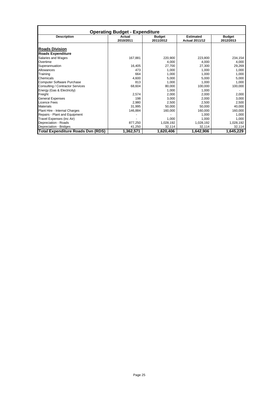| <b>Operating Budget - Expenditure</b>    |           |               |                       |               |  |
|------------------------------------------|-----------|---------------|-----------------------|---------------|--|
| <b>Description</b>                       | Actual    | <b>Budget</b> | <b>Estimated</b>      | <b>Budget</b> |  |
|                                          | 2010/2011 | 2011/2012     | <b>Actual 2011/12</b> | 2012/2013     |  |
| <b>Roads Division</b>                    |           |               |                       |               |  |
| <b>Roads Expenditure</b>                 |           |               |                       |               |  |
| Salaries and Wages                       | 167,881   | 220,900       | 223,800               | 234,154       |  |
| Overtime                                 |           | 4,000         | 4,000                 | 4,000         |  |
| Superannuation                           | 16,405    | 27,700        | 27,300                | 29,269        |  |
| Allowances                               | 473       | 1,000         | 1,000                 | 1,000         |  |
| Training                                 | 664       | 1,000         | 1,000                 | 1,000         |  |
| Chemicals                                | 4,600     | 5,000         | 5,000                 | 5,000         |  |
| <b>Computer Software Purchase</b>        | 813       | 1,000         | 1,000                 | 1,000         |  |
| Consulting / Contractor Services         | 68,604    | 80,000        | 100,000               | 100,000       |  |
| Energy (Gas & Electricity)               |           | 1,000         | 1,000                 |               |  |
| Freight                                  | 2,574     | 2,000         | 2,000                 | 2,000         |  |
| <b>General Expenses</b>                  | 198       | 3,000         | 2,000                 | 3,000         |  |
| <b>Licence Fees</b>                      | 2,980     | 2,500         | 2,500                 | 2,500         |  |
| <b>Materials</b>                         | 31,995    | 50,000        | 50,000                | 40,000        |  |
| Plant Hire - Internal Charges            | 146,884   | 160,000       | 160,000               | 160,000       |  |
| Repairs - Plant and Equipment            |           |               | 1,000                 | 1,000         |  |
| Travel Expenses (inc Air)                |           | 1,000         | 1,000                 | 1,000         |  |
| Depreciation - Roads                     | 877,250   | 1,028,192     | 1,028,192             | 1,028,192     |  |
| Depreciation - Bridges                   | 41,250    | 32,114        | 32,114                | 32,114        |  |
| <b>Total Expenditure Roads Dvn (RDS)</b> | 1,362,571 | 1,620,406     | 1,642,906             | 1,645,229     |  |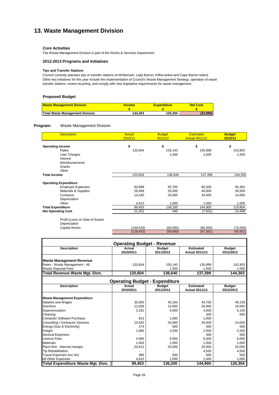# **13. Waste Management Division**

#### **Core Activities**

The Waste Management Division is part of the Works & Services Department.

#### **2012-2013 Programs and Initiatives**

#### **Tips and Transfer Stations**

Council currently operates tips or transfer stations at Whitemark, Lady Barron, Killiecrankie and Cape Barren Island. Other key initiatives for this year include the implementation of Council's Waste Management Strategy, operation of waste transfer stations, review recycling, and comply with new legislative requirements for waste management.

### **Proposed Budget**

| <b>Waste Management Division</b> | <b>Income</b> | <b>Expenditure</b> | <b>Net Cost</b> |
|----------------------------------|---------------|--------------------|-----------------|
|                                  |               |                    |                 |
| Total Waste Management Division  | 144.303       | 120.304            | (23,999)        |

#### **Program:** Waste Management Division

| <b>Description</b>           | <b>Actual</b><br>2010/11 | <b>Budget</b><br>2011/12 | <b>Estimated</b><br><b>Actual 2011/12</b> | <b>Budget</b><br>2012/13 |
|------------------------------|--------------------------|--------------------------|-------------------------------------------|--------------------------|
| <b>Operating Income</b>      | \$                       | \$                       | \$                                        | \$                       |
| Rates                        | 120,604                  | 135,140                  | 135,899                                   | 142,803                  |
| User Charges                 |                          | 1,500                    | 1,500                                     | 1,500                    |
| Interest                     |                          |                          |                                           |                          |
| Reimbursements               |                          |                          |                                           |                          |
| Grants                       |                          |                          |                                           |                          |
| Other                        |                          |                          |                                           |                          |
| <b>Total Income</b>          | 120,604                  | 136,640                  | 137,399                                   | 144,303                  |
| <b>Operating Expenditure</b> |                          |                          |                                           |                          |
| <b>Employee Expenses</b>     | 50,899                   | 65,700                   | 69,300                                    | 65,304                   |
| Materials & Supplies         | 29,469                   | 35,500                   | 40,600                                    | 39,500                   |
| Contracts                    | 14,420                   | 34,000                   | 34,000                                    | 14,000                   |
| Depreciation                 |                          |                          |                                           |                          |
| Other                        | 4,615                    | 1,000                    | 1,000                                     | 1,000                    |
| <b>Total Expenditure</b>     | 99,403                   | 136,200                  | 144,900                                   | 119,804                  |
| <b>Net Operating Cost</b>    | 21,201                   | 440                      | (7,501)                                   | 24,499                   |

Profit (Loss) on Sale of Assets Depreciation<br>Capital Work

| publuokuuli          |           |          |           |          |
|----------------------|-----------|----------|-----------|----------|
| <b>Capital Works</b> | 149.633)  | (60.000) | (60.000)  | (70.000) |
|                      | (128.432) | (59.560) | (67, 501) | (45.501) |

| <b>Operating Budget - Revenue</b>     |                                       |                            |                                           |                            |  |
|---------------------------------------|---------------------------------------|----------------------------|-------------------------------------------|----------------------------|--|
| <b>Description</b>                    | Actual                                | <b>Budget</b>              | <b>Estimated</b>                          | <b>Budget</b>              |  |
|                                       | 2010/2011                             | 2011/2012                  | <b>Actual 2011/12</b>                     | 2012/2013                  |  |
| <b>Waste Management Revenue</b>       |                                       |                            |                                           |                            |  |
| Rates - Waste Management - All        | 120,604                               | 135,140                    | 135,899                                   | 142,803                    |  |
| <b>Waste Disposal Fees</b>            |                                       | 1,500                      | 1,500                                     | 1,500                      |  |
| <b>Total Revenue Waste Mgt. Divn.</b> | 120,604                               | 136,640                    | 137,399                                   | 144,303                    |  |
|                                       | <b>Operating Budget - Expenditure</b> |                            |                                           |                            |  |
| <b>Description</b>                    | <b>Actual</b><br>2010/2011            | <b>Budget</b><br>2011/2012 | <b>Estimated</b><br><b>Actual 2011/12</b> | <b>Budget</b><br>2012/2013 |  |
| <b>Waste Management Expenditure</b>   |                                       |                            |                                           |                            |  |
| Salaries and Wages                    | 35,050                                | 45,100                     | 44,700                                    | 49,159                     |  |
| Overtime                              | 12,658                                | 15,000                     | 20,000                                    | 10,000                     |  |
| Superannuation                        | 3,191                                 | 5,600                      | 4.600                                     | 6,145                      |  |
| Cleaning                              |                                       |                            | 300                                       | 500                        |  |
| <b>Computer Software Purchase</b>     | 813                                   | 1,000                      | 1.000                                     |                            |  |
| Consulting / Contractor Services      | 14,420                                | 34,000                     | 34,000                                    | 14,000                     |  |
| Energy (Gas & Electricity)            | 174                                   | 500                        | 500                                       | 500                        |  |
| Freight                               | 1,895                                 | 2,500                      | 2,500                                     | 2,500                      |  |
| <b>General Expenses</b>               |                                       |                            | 300                                       | 500                        |  |
| <b>Licence Fees</b>                   | 4,586                                 | 5,000                      | 5,000                                     | 5,000                      |  |
| <b>Materials</b>                      | 1,003                                 | 1.000                      | 1,000                                     | 1,000                      |  |
| Plant Hire - Internal charges         | 20,612                                | 25,000                     | 25,000                                    | 25,000                     |  |
| <b>Tip Rehabilitation</b>             |                                       |                            | 4,500                                     | 4,500                      |  |
| Travel Expenses (inc Air)             | 386                                   | 500                        | 500                                       | 500                        |  |
| All Other Expenses                    | 4,615                                 | 1.000                      | 1,000                                     | 1.000                      |  |
| Total Expenditure Waste Mgt. Divn. (  | 99,403                                | 136,200                    | 144,900                                   | 120,304                    |  |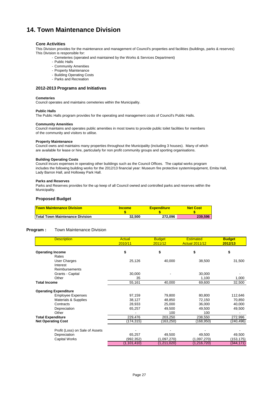# **14. Town Maintenance Division**

#### **Core Activities**

This Division provides for the maintenance and management of Council's properties and facilities (buildings, parks & reserves) This Division is responsible for:

- Cemeteries (operated and maintained by the Works & Services Department)
- Public Halls
- Community Amenities
- Property Maintenance
- Building Operating Costs
- Parks and Recreation

#### **2012-2013 Programs and Initiatives**

#### **Cemeteries**

Council operates and maintains cemeteries within the Municipality.

#### **Public Halls**

The Public Halls program provides for the operating and management costs of Council's Public Halls.

#### **Community Amenities**

Council maintains and operates public amenities in most towns to provide public toilet facilities for members of the community and visitors to utilise.

#### **Property Maintenance**

Council owns and maintains many properties throughout the Municipality (including 3 houses). Many of which are available for lease or hire, particularly for non profit community groups and sporting organisations.

#### **Building Operating Costs**

Council incurs expenses in operating other buildings such as the Council Offices. The capital works program includes the following building works for the 2012/13 financial year: Museum fire protective system/equipment, Emita Hall, Lady Barron Hall, and Holloway Park Hall.

#### **Parks and Reserves**

Parks and Reserves provides for the up keep of all Council owned and controlled parks and reserves within the Municipality.

#### **Proposed Budget**

| <b>Town Maintenance Division</b> | <b>Income</b> | <b>Expenditure</b> | <b>Net Cost</b> |
|----------------------------------|---------------|--------------------|-----------------|
|                                  |               |                    |                 |
| Total Town Maintenance Division  | 32.500        | 272.096            | 239.596         |

#### **Program :** Town Maintenance Division

| <b>Description</b>              | <b>Actual</b><br>2010/11 | <b>Budget</b><br>2011/12 | <b>Estimated</b><br><b>Actual 2011/12</b> | <b>Budget</b><br>2012/13 |
|---------------------------------|--------------------------|--------------------------|-------------------------------------------|--------------------------|
| <b>Operating Income</b>         | \$                       | \$                       | \$                                        | \$                       |
| Rates                           |                          |                          |                                           |                          |
| User Charges<br>Interest        | 25,126                   | 40,000                   | 38,500                                    | 31,500                   |
| <b>Reimbursements</b>           |                          |                          |                                           |                          |
| Grants - Capital                | 30,000                   |                          | 30,000                                    |                          |
| Other                           | 35                       |                          | 1,100                                     | 1,000                    |
| <b>Total Income</b>             | 55,161                   | 40,000                   | 69,600                                    | 32,500                   |
| <b>Operating Expenditure</b>    |                          |                          |                                           |                          |
| <b>Employee Expenses</b>        | 97,159                   | 79,800                   | 80,800                                    | 112,646                  |
| Materials & Supplies            | 38,127                   | 48,850                   | 72,150                                    | 70,850                   |
| Contracts                       | 28,933                   | 25,000                   | 36,000                                    | 40,000                   |
| Depreciation                    | 65,257                   | 49,500                   | 49,500                                    | 49,500                   |
| Other                           |                          | 100                      | 100                                       |                          |
| <b>Total Expenditure</b>        | 229,476                  | 203,250                  | 238,550                                   | 272,996                  |
| <b>Net Operating Cost</b>       | (174,315)                | (163, 250)               | (168,950)                                 | (240,496)                |
| Profit (Loss) on Sale of Assets |                          |                          |                                           |                          |
| Depreciation                    | 65,257                   | 49,500                   | 49,500                                    | 49,500                   |
| <b>Capital Works</b>            | (992,352)                | (1,097,270)              | (1,097,270)                               | (153, 175)               |
|                                 | (1, 101, 410)            | (1,211,020)              | (1,216,720)                               | (344, 171)               |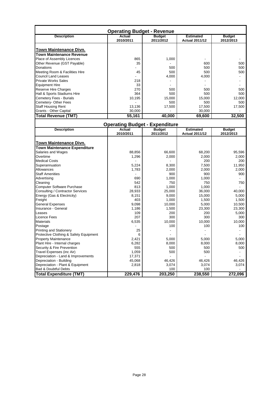| <b>Operating Budget - Revenue</b>                                |                     |                            |                                           |                            |
|------------------------------------------------------------------|---------------------|----------------------------|-------------------------------------------|----------------------------|
| <b>Description</b>                                               | Actual<br>2010/2011 | <b>Budget</b><br>2011/2012 | <b>Estimated</b><br><b>Actual 2011/12</b> | <b>Budget</b><br>2012/2013 |
| <b>Town Maintenance Divn.</b><br><b>Town Maintenance Revenue</b> |                     |                            |                                           |                            |
| Place of Assembly Licences                                       | 865                 | 1,000                      |                                           |                            |
| Other Revenue (GST Payable)                                      | 35                  |                            | 600                                       | 500                        |
| Donations                                                        |                     | 500                        | 500                                       | 500                        |
| Meeting Room & Facilities Hire                                   | 45                  | 500                        | 500                                       | 500                        |
| <b>Council Land Leases</b>                                       |                     | 4,000                      | 4,000                                     |                            |
| <b>Private Works Sales</b>                                       | 218                 |                            |                                           |                            |
| <b>Equipment Hire</b>                                            | 33                  |                            |                                           |                            |
| Reserve Hire Charges                                             | 270                 | 500                        | 500                                       | 500                        |
| Hall & Sports Stadiums Hire                                      | 364                 | 500                        | 500                                       | 500                        |
| Cemetery Fees - Burials                                          | 10,195              | 15,000                     | 15,000                                    | 12,000                     |
| Cemetery- Other Fees                                             |                     | 500                        | 500                                       | 500                        |
| <b>Staff Housing Rent</b>                                        | 13,136              | 17,500                     | 17,500                                    | 17,500                     |
| Grants - Other Capital                                           | 30,000              |                            | 30,000                                    |                            |
| <b>Total Revenue (TMT)</b>                                       | 55,161              | 40,000                     | 69,600                                    | 32,500                     |

| <b>Operating Budget - Expenditure</b>  |           |               |                       |               |
|----------------------------------------|-----------|---------------|-----------------------|---------------|
| <b>Description</b>                     | Actual    | <b>Budget</b> | <b>Estimated</b>      | <b>Budget</b> |
|                                        | 2010/2011 | 2011/2012     | <b>Actual 2011/12</b> | 2012/2013     |
|                                        |           |               |                       |               |
| Town Maintenance Divn.                 |           |               |                       |               |
| <b>Town Maintenance Expenditure</b>    |           |               |                       |               |
| Salaries and Wages                     | 88,856    | 66,600        | 68,200                | 95,596        |
| Overtime                               | 1,296     | 2,000         | 2,000                 | 2,000         |
| <b>Medical Costs</b>                   |           |               | 200                   | 200           |
| Superannuation                         | 5,224     | 8,300         | 7,500                 | 11,950        |
| Allowances                             | 1,783     | 2,000         | 2,000                 | 2,000         |
| <b>Staff Amenities</b>                 |           | 900           | 900                   | 900           |
| Advertising                            | 690       | 1,000         | 1,000                 |               |
| Cleaning                               | 542       | 750           | 750                   | 750           |
| <b>Computer Software Purchase</b>      | 813       | 1,000         | 1,000                 |               |
| Consulting / Contractor Services       | 28,933    | 25,000        | 36,000                | 40,000        |
| Energy (Gas & Electricity)             | 8.151     | 9.000         | 15,000                | 5,000         |
| Freight                                | 403       | 1,000         | 1,500                 | 1,500         |
| <b>General Expenses</b>                | 9,098     | 10,000        | 5,000                 | 10,500        |
| Insurance - General                    | 1,186     | 1,500         | 23,300                | 23,300        |
| Leases                                 | 109       | 200           | 200                   | 5,000         |
| Licence Fees                           | 207       | 300           | 300                   | 300           |
| <b>Materials</b>                       | 6,535     | 10,000        | 10,000                | 10,000        |
| Postage                                |           | 100           | 100                   | 100           |
| <b>Printing and Stationery</b>         | 25        |               |                       |               |
| Protective Clothing & Safety Equipment | 6         |               |                       |               |
| <b>Property Maintenance</b>            | 2,421     | 5,000         | 5,000                 | 5,000         |
| Plant Hire - Internal charges          | 6,282     | 8,000         | 8,000                 | 8,000         |
| Security & Fire Prevention             | 555       | 500           | 500                   | 500           |
| Travel Expenses (inc Air)              | 1,059     | 500           | 500                   |               |
| Depreciation - Land & Improvements     | 17,371    |               |                       |               |
| Depreciation - Building                | 45,068    | 46,426        | 46,426                | 46,426        |
| Depreciation - Plant & Equipment       | 2,818     | 3,074         | 3,074                 | 3,074         |
| <b>Bad &amp; Doubtful Debts</b>        |           | 100           | 100                   |               |
| <b>Total Expenditure (TMT)</b>         | 229,476   | 203,250       | 238,550               | 272,096       |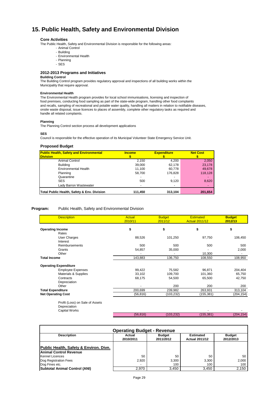# **15. Public Health, Safety and Environmental Division**

#### **Core Activities**

The Public Health, Safety and Environmental Division is responsible for the following areas:

- Animal Control
	- Building
- Environmental Health - Planning
- SES

#### **2012-2013 Programs and Initiatives**

#### **Building Control**

The Building Control program provides regulatory approval and inspections of all building works within the Municipality that require approval.

#### **Environmental Health**

The Environmental Health program provides for local school immunisations, licensing and inspection of food premises, conducting food sampling as part of the state-wide program, handling other food complaints and recalls, sampling of recreational and potable water quality, handling all matters in relation to notifiable diseases, onsite waste disposal, issue licences to places of assembly, complete other regulatory tasks as required and handle all related complaints.

#### **Planning**

The Planning Control section process all development applications

#### **SES**

Council is responsible for the effective operation of its Municipal Volunteer State Emergency Service Unit.

#### **Proposed Budget**

| <b>Public Health, Safety and Environmental</b><br><b>Division</b> | <b>Income</b> | <b>Expenditure</b> | <b>Net Cost</b> |
|-------------------------------------------------------------------|---------------|--------------------|-----------------|
| Animal Control                                                    | 2.150         | 4,200              | 2,050           |
| <b>Building</b>                                                   | 39,000        | 62.178             | 23,178          |
| <b>Environmental Health</b>                                       | 11.100        | 60.778             | 49,678          |
| Planning                                                          | 58.700        | 176.828            | 118,128         |
| Quarantine                                                        |               |                    |                 |
| <b>SES</b>                                                        | 500           | 9.120              | 8,620           |
| Lady Barron Wastewater                                            |               |                    |                 |
| Total Public Health, Safety & Env. Division                       | 111,450       | 313,104            | 201,654         |

#### **Program:** Public Health, Safety and Environmental Division

| <b>Description</b>                                               | <b>Actual</b><br>2010/11 | <b>Budget</b><br>2011/12 | <b>Estimated</b><br><b>Actual 2011/12</b> | <b>Budget</b><br>2012/13 |
|------------------------------------------------------------------|--------------------------|--------------------------|-------------------------------------------|--------------------------|
| <b>Operating Income</b>                                          | \$                       | \$                       | \$                                        | \$                       |
| Rates                                                            |                          |                          |                                           |                          |
| User Charges                                                     | 88,526                   | 101,250                  | 97,750                                    | 106,450                  |
| Interest                                                         |                          |                          |                                           |                          |
| <b>Reimbursements</b>                                            | 500                      | 500                      | 500                                       | 500                      |
| Grants                                                           | 54,857                   | 35,000                   |                                           | 2,000                    |
| Other                                                            |                          |                          | 10,300                                    |                          |
| <b>Total Income</b>                                              | 143,883                  | 136,750                  | 108,550                                   | 108,950                  |
| <b>Operating Expenditure</b>                                     |                          |                          |                                           |                          |
| <b>Employee Expenses</b>                                         | 99,422                   | 75,582                   | 96,871                                    | 204,404                  |
| Materials & Supplies                                             | 33,102                   | 109,700                  | 101,360                                   | 65,750                   |
| Contracts                                                        | 68,175                   | 54,500                   | 65,500                                    | 42,750                   |
| Depreciation                                                     |                          |                          |                                           |                          |
| Other                                                            |                          | 200                      | 200                                       | 200                      |
| <b>Total Expenditure</b>                                         | 200,699                  | 239,982                  | 263,931                                   | 313,104                  |
| <b>Net Operating Cost</b>                                        | (56, 816)                | (103, 232)               | (155, 381)                                | (204, 154)               |
| Profit (Loss) on Sale of Assets<br>Depreciation<br>Capital Works |                          |                          |                                           |                          |
|                                                                  | (56, 816)                | (103, 232)               | (155, 381)                                | (204, 154)               |

| <b>Operating Budget - Revenue</b>                                       |                          |                            |                                           |                            |  |
|-------------------------------------------------------------------------|--------------------------|----------------------------|-------------------------------------------|----------------------------|--|
| <b>Description</b>                                                      | Actual<br>2010/2011      | <b>Budget</b><br>2011/2012 | <b>Estimated</b><br><b>Actual 2011/12</b> | <b>Budget</b><br>2012/2013 |  |
| Public Health, Safety & Environ. Divn.<br><b>Animal Control Revenue</b> |                          |                            |                                           |                            |  |
| <b>Kennel Licences</b>                                                  | 50                       | 50                         | 50                                        | 50                         |  |
| Dog Registration Fees                                                   | 2.920                    | 3,300                      | 3.300                                     | 2,000                      |  |
| Dog Fines etc.                                                          | $\overline{\phantom{a}}$ | 100                        | 100                                       | 100                        |  |
| Subtotal Animal Control (ANI)                                           | 2,970                    | 3,450                      | 3,450                                     | 2,150                      |  |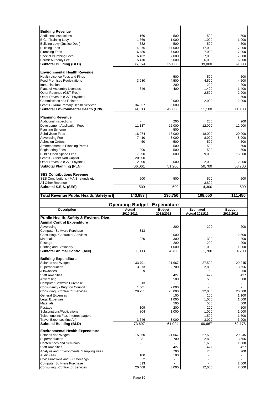| <b>Building Revenue</b>                                                                                                                                                                                                                                                                                                                                                                                                                                                                                                                                                                                                                                                                                                                                                                                                                                                                                                                                |                                                 |                |                       |                                                                                                                                                                                                                                |
|--------------------------------------------------------------------------------------------------------------------------------------------------------------------------------------------------------------------------------------------------------------------------------------------------------------------------------------------------------------------------------------------------------------------------------------------------------------------------------------------------------------------------------------------------------------------------------------------------------------------------------------------------------------------------------------------------------------------------------------------------------------------------------------------------------------------------------------------------------------------------------------------------------------------------------------------------------|-------------------------------------------------|----------------|-----------------------|--------------------------------------------------------------------------------------------------------------------------------------------------------------------------------------------------------------------------------|
| <b>Additional Inspections</b>                                                                                                                                                                                                                                                                                                                                                                                                                                                                                                                                                                                                                                                                                                                                                                                                                                                                                                                          | 160                                             | 500            | 500                   | 500                                                                                                                                                                                                                            |
| <b>B.C.I. Training Levy</b>                                                                                                                                                                                                                                                                                                                                                                                                                                                                                                                                                                                                                                                                                                                                                                                                                                                                                                                            | 1,369                                           | 1,000          | 1,000                 | 1,000                                                                                                                                                                                                                          |
| <b>Building Levy (Justice Dept)</b>                                                                                                                                                                                                                                                                                                                                                                                                                                                                                                                                                                                                                                                                                                                                                                                                                                                                                                                    | 382                                             | 500            | 500                   | 500                                                                                                                                                                                                                            |
| <b>Building Fees</b>                                                                                                                                                                                                                                                                                                                                                                                                                                                                                                                                                                                                                                                                                                                                                                                                                                                                                                                                   | 14,876                                          | 17,000         | 17,000                | 17,000                                                                                                                                                                                                                         |
| <b>Plumbing Fees</b>                                                                                                                                                                                                                                                                                                                                                                                                                                                                                                                                                                                                                                                                                                                                                                                                                                                                                                                                   | 6,480                                           | 7,000          | 7,000                 | 7,000                                                                                                                                                                                                                          |
| <b>Special Plumbing Fees</b>                                                                                                                                                                                                                                                                                                                                                                                                                                                                                                                                                                                                                                                                                                                                                                                                                                                                                                                           | 6,432                                           | 7,000          | 7,000                 | 7,000                                                                                                                                                                                                                          |
| Permit Authority Fee                                                                                                                                                                                                                                                                                                                                                                                                                                                                                                                                                                                                                                                                                                                                                                                                                                                                                                                                   | 5,470                                           | 6,000          | 6,000                 | 6,000                                                                                                                                                                                                                          |
| <b>Subtotal Building (BLD)</b>                                                                                                                                                                                                                                                                                                                                                                                                                                                                                                                                                                                                                                                                                                                                                                                                                                                                                                                         | 35,169                                          | 39,000         | 39,000                | 39,000                                                                                                                                                                                                                         |
| <b>Environmental Health Revenue</b>                                                                                                                                                                                                                                                                                                                                                                                                                                                                                                                                                                                                                                                                                                                                                                                                                                                                                                                    |                                                 |                |                       |                                                                                                                                                                                                                                |
| <b>Health Licence Fees and Fines</b>                                                                                                                                                                                                                                                                                                                                                                                                                                                                                                                                                                                                                                                                                                                                                                                                                                                                                                                   |                                                 | 500            | 500                   | 500                                                                                                                                                                                                                            |
| <b>Food Premises Registrations</b>                                                                                                                                                                                                                                                                                                                                                                                                                                                                                                                                                                                                                                                                                                                                                                                                                                                                                                                     | 3,980                                           | 4,500          | 4,500                 | 4,500                                                                                                                                                                                                                          |
| Immunisation                                                                                                                                                                                                                                                                                                                                                                                                                                                                                                                                                                                                                                                                                                                                                                                                                                                                                                                                           |                                                 | 200            | 200                   | 200                                                                                                                                                                                                                            |
| Place of Assembly Licences                                                                                                                                                                                                                                                                                                                                                                                                                                                                                                                                                                                                                                                                                                                                                                                                                                                                                                                             | 346                                             | 400            | 1,400                 | 1,400                                                                                                                                                                                                                          |
| Other Revenue (GST Free)                                                                                                                                                                                                                                                                                                                                                                                                                                                                                                                                                                                                                                                                                                                                                                                                                                                                                                                               |                                                 | $\blacksquare$ | 2,500                 | 2,000                                                                                                                                                                                                                          |
| Other Revenue (GST Payable)                                                                                                                                                                                                                                                                                                                                                                                                                                                                                                                                                                                                                                                                                                                                                                                                                                                                                                                            |                                                 |                |                       | 500                                                                                                                                                                                                                            |
| <b>Commissions and Related</b>                                                                                                                                                                                                                                                                                                                                                                                                                                                                                                                                                                                                                                                                                                                                                                                                                                                                                                                         |                                                 | 2,000          | 2,000                 | 2,000                                                                                                                                                                                                                          |
| Grants - Rural Primary Health Services                                                                                                                                                                                                                                                                                                                                                                                                                                                                                                                                                                                                                                                                                                                                                                                                                                                                                                                 | 34,857                                          | 35,000         |                       |                                                                                                                                                                                                                                |
| <b>Subtotal Environmental Health (ENV)</b>                                                                                                                                                                                                                                                                                                                                                                                                                                                                                                                                                                                                                                                                                                                                                                                                                                                                                                             | 39,183                                          | 42,600         | 11,100                | 11,100                                                                                                                                                                                                                         |
|                                                                                                                                                                                                                                                                                                                                                                                                                                                                                                                                                                                                                                                                                                                                                                                                                                                                                                                                                        |                                                 |                |                       |                                                                                                                                                                                                                                |
| <b>Planning Revenue</b>                                                                                                                                                                                                                                                                                                                                                                                                                                                                                                                                                                                                                                                                                                                                                                                                                                                                                                                                |                                                 |                |                       |                                                                                                                                                                                                                                |
| <b>Additional Inspections</b>                                                                                                                                                                                                                                                                                                                                                                                                                                                                                                                                                                                                                                                                                                                                                                                                                                                                                                                          |                                                 | 200            | 200                   | 200                                                                                                                                                                                                                            |
| Development Application Fees                                                                                                                                                                                                                                                                                                                                                                                                                                                                                                                                                                                                                                                                                                                                                                                                                                                                                                                           | 11,137                                          | 12,000         | 12,000                | 12,000                                                                                                                                                                                                                         |
| <b>Planning Scheme</b>                                                                                                                                                                                                                                                                                                                                                                                                                                                                                                                                                                                                                                                                                                                                                                                                                                                                                                                                 |                                                 | 500            |                       |                                                                                                                                                                                                                                |
| <b>Subdivision Fees</b><br><b>Advertising Fee</b>                                                                                                                                                                                                                                                                                                                                                                                                                                                                                                                                                                                                                                                                                                                                                                                                                                                                                                      | 16,974                                          | 18,000         | 18,000                | 20.000                                                                                                                                                                                                                         |
| <b>Adhesion Orders</b>                                                                                                                                                                                                                                                                                                                                                                                                                                                                                                                                                                                                                                                                                                                                                                                                                                                                                                                                 | 7,410<br>450                                    | 8,000<br>500   | 8,000<br>500          | 8,000<br>500                                                                                                                                                                                                                   |
| Ammendment to Planning Permit                                                                                                                                                                                                                                                                                                                                                                                                                                                                                                                                                                                                                                                                                                                                                                                                                                                                                                                          |                                                 | 500            | 500                   | 500                                                                                                                                                                                                                            |
| <b>Engineering Fees</b>                                                                                                                                                                                                                                                                                                                                                                                                                                                                                                                                                                                                                                                                                                                                                                                                                                                                                                                                | 200                                             | 500            | 500                   | 500                                                                                                                                                                                                                            |
| Public Open Space Fees                                                                                                                                                                                                                                                                                                                                                                                                                                                                                                                                                                                                                                                                                                                                                                                                                                                                                                                                 | 7,890                                           | 9,000          | 9,000                 | 15,000                                                                                                                                                                                                                         |
| Grants - Other Non Capital                                                                                                                                                                                                                                                                                                                                                                                                                                                                                                                                                                                                                                                                                                                                                                                                                                                                                                                             | 20,000                                          | ä,             | ä,                    |                                                                                                                                                                                                                                |
| Other Revenue (GST Payable)                                                                                                                                                                                                                                                                                                                                                                                                                                                                                                                                                                                                                                                                                                                                                                                                                                                                                                                            | 2,000                                           | 2,000          | 2,000                 | 2,000                                                                                                                                                                                                                          |
| <b>Subtotal Planning (PLN)</b>                                                                                                                                                                                                                                                                                                                                                                                                                                                                                                                                                                                                                                                                                                                                                                                                                                                                                                                         | 66,061                                          | 51,200         | 50,700                | 58,700                                                                                                                                                                                                                         |
|                                                                                                                                                                                                                                                                                                                                                                                                                                                                                                                                                                                                                                                                                                                                                                                                                                                                                                                                                        |                                                 |                |                       |                                                                                                                                                                                                                                |
| <b>SES Contributions Revenue</b>                                                                                                                                                                                                                                                                                                                                                                                                                                                                                                                                                                                                                                                                                                                                                                                                                                                                                                                       |                                                 |                |                       |                                                                                                                                                                                                                                |
| SES Contributions - MAIB refunds etc                                                                                                                                                                                                                                                                                                                                                                                                                                                                                                                                                                                                                                                                                                                                                                                                                                                                                                                   | 500                                             | 500            | 500                   | 500                                                                                                                                                                                                                            |
| All Other Revenue                                                                                                                                                                                                                                                                                                                                                                                                                                                                                                                                                                                                                                                                                                                                                                                                                                                                                                                                      |                                                 |                | 3,800                 |                                                                                                                                                                                                                                |
| Subtotal S.E.S. (SES)                                                                                                                                                                                                                                                                                                                                                                                                                                                                                                                                                                                                                                                                                                                                                                                                                                                                                                                                  | 500                                             | 500            | 4,300                 | 500                                                                                                                                                                                                                            |
|                                                                                                                                                                                                                                                                                                                                                                                                                                                                                                                                                                                                                                                                                                                                                                                                                                                                                                                                                        |                                                 |                | 108,550               |                                                                                                                                                                                                                                |
| Total Revenue Public Health, Safety &                                                                                                                                                                                                                                                                                                                                                                                                                                                                                                                                                                                                                                                                                                                                                                                                                                                                                                                  | 143,883                                         |                |                       | 111,450                                                                                                                                                                                                                        |
|                                                                                                                                                                                                                                                                                                                                                                                                                                                                                                                                                                                                                                                                                                                                                                                                                                                                                                                                                        |                                                 | 136,750        |                       |                                                                                                                                                                                                                                |
|                                                                                                                                                                                                                                                                                                                                                                                                                                                                                                                                                                                                                                                                                                                                                                                                                                                                                                                                                        |                                                 |                |                       |                                                                                                                                                                                                                                |
|                                                                                                                                                                                                                                                                                                                                                                                                                                                                                                                                                                                                                                                                                                                                                                                                                                                                                                                                                        | <b>Operating Budget - Expenditure</b><br>Actual | <b>Budget</b>  | Estimated             | <b>Budget</b>                                                                                                                                                                                                                  |
| <b>Description</b>                                                                                                                                                                                                                                                                                                                                                                                                                                                                                                                                                                                                                                                                                                                                                                                                                                                                                                                                     | 2010/2011                                       | 2011/2012      | <b>Actual 2011/12</b> | 2012/2013                                                                                                                                                                                                                      |
|                                                                                                                                                                                                                                                                                                                                                                                                                                                                                                                                                                                                                                                                                                                                                                                                                                                                                                                                                        |                                                 |                |                       |                                                                                                                                                                                                                                |
|                                                                                                                                                                                                                                                                                                                                                                                                                                                                                                                                                                                                                                                                                                                                                                                                                                                                                                                                                        |                                                 |                |                       |                                                                                                                                                                                                                                |
|                                                                                                                                                                                                                                                                                                                                                                                                                                                                                                                                                                                                                                                                                                                                                                                                                                                                                                                                                        |                                                 | 200            | 200                   |                                                                                                                                                                                                                                |
|                                                                                                                                                                                                                                                                                                                                                                                                                                                                                                                                                                                                                                                                                                                                                                                                                                                                                                                                                        | 813                                             | ٠              |                       |                                                                                                                                                                                                                                |
|                                                                                                                                                                                                                                                                                                                                                                                                                                                                                                                                                                                                                                                                                                                                                                                                                                                                                                                                                        |                                                 | 3,000          |                       |                                                                                                                                                                                                                                |
|                                                                                                                                                                                                                                                                                                                                                                                                                                                                                                                                                                                                                                                                                                                                                                                                                                                                                                                                                        | 220                                             | 300            | 300                   |                                                                                                                                                                                                                                |
|                                                                                                                                                                                                                                                                                                                                                                                                                                                                                                                                                                                                                                                                                                                                                                                                                                                                                                                                                        |                                                 | 200            | 200                   |                                                                                                                                                                                                                                |
|                                                                                                                                                                                                                                                                                                                                                                                                                                                                                                                                                                                                                                                                                                                                                                                                                                                                                                                                                        |                                                 | 1,000          | 1,000                 |                                                                                                                                                                                                                                |
| Consulting / Contractor Services                                                                                                                                                                                                                                                                                                                                                                                                                                                                                                                                                                                                                                                                                                                                                                                                                                                                                                                       | 1,033                                           | 4,700          | 1,700                 |                                                                                                                                                                                                                                |
|                                                                                                                                                                                                                                                                                                                                                                                                                                                                                                                                                                                                                                                                                                                                                                                                                                                                                                                                                        |                                                 |                |                       |                                                                                                                                                                                                                                |
|                                                                                                                                                                                                                                                                                                                                                                                                                                                                                                                                                                                                                                                                                                                                                                                                                                                                                                                                                        | 33,791                                          | 21,667         | 27,590                |                                                                                                                                                                                                                                |
|                                                                                                                                                                                                                                                                                                                                                                                                                                                                                                                                                                                                                                                                                                                                                                                                                                                                                                                                                        | 3,073                                           | 2,700          | 2,800                 |                                                                                                                                                                                                                                |
|                                                                                                                                                                                                                                                                                                                                                                                                                                                                                                                                                                                                                                                                                                                                                                                                                                                                                                                                                        | 9                                               |                | 50                    |                                                                                                                                                                                                                                |
|                                                                                                                                                                                                                                                                                                                                                                                                                                                                                                                                                                                                                                                                                                                                                                                                                                                                                                                                                        |                                                 | 427            | 427                   |                                                                                                                                                                                                                                |
|                                                                                                                                                                                                                                                                                                                                                                                                                                                                                                                                                                                                                                                                                                                                                                                                                                                                                                                                                        |                                                 | 500            | 500                   |                                                                                                                                                                                                                                |
|                                                                                                                                                                                                                                                                                                                                                                                                                                                                                                                                                                                                                                                                                                                                                                                                                                                                                                                                                        | 813                                             | ä,             | ä,                    | ٠                                                                                                                                                                                                                              |
|                                                                                                                                                                                                                                                                                                                                                                                                                                                                                                                                                                                                                                                                                                                                                                                                                                                                                                                                                        | 1,601                                           | 2,000          |                       |                                                                                                                                                                                                                                |
|                                                                                                                                                                                                                                                                                                                                                                                                                                                                                                                                                                                                                                                                                                                                                                                                                                                                                                                                                        | 29,751                                          | 28,000         | 22,000                |                                                                                                                                                                                                                                |
|                                                                                                                                                                                                                                                                                                                                                                                                                                                                                                                                                                                                                                                                                                                                                                                                                                                                                                                                                        |                                                 | 100            | 100                   |                                                                                                                                                                                                                                |
|                                                                                                                                                                                                                                                                                                                                                                                                                                                                                                                                                                                                                                                                                                                                                                                                                                                                                                                                                        |                                                 | 1,000          | 1,000                 |                                                                                                                                                                                                                                |
|                                                                                                                                                                                                                                                                                                                                                                                                                                                                                                                                                                                                                                                                                                                                                                                                                                                                                                                                                        |                                                 | 500            | 500                   |                                                                                                                                                                                                                                |
|                                                                                                                                                                                                                                                                                                                                                                                                                                                                                                                                                                                                                                                                                                                                                                                                                                                                                                                                                        | 109                                             | 200            | 200                   |                                                                                                                                                                                                                                |
|                                                                                                                                                                                                                                                                                                                                                                                                                                                                                                                                                                                                                                                                                                                                                                                                                                                                                                                                                        | 804                                             | 1,000          | 1,000                 |                                                                                                                                                                                                                                |
|                                                                                                                                                                                                                                                                                                                                                                                                                                                                                                                                                                                                                                                                                                                                                                                                                                                                                                                                                        |                                                 |                | 1,500                 |                                                                                                                                                                                                                                |
|                                                                                                                                                                                                                                                                                                                                                                                                                                                                                                                                                                                                                                                                                                                                                                                                                                                                                                                                                        | 3,746                                           | 3,000          | 3,000                 |                                                                                                                                                                                                                                |
|                                                                                                                                                                                                                                                                                                                                                                                                                                                                                                                                                                                                                                                                                                                                                                                                                                                                                                                                                        | 73,697                                          | 61,094         | 60,667                |                                                                                                                                                                                                                                |
|                                                                                                                                                                                                                                                                                                                                                                                                                                                                                                                                                                                                                                                                                                                                                                                                                                                                                                                                                        |                                                 |                |                       |                                                                                                                                                                                                                                |
|                                                                                                                                                                                                                                                                                                                                                                                                                                                                                                                                                                                                                                                                                                                                                                                                                                                                                                                                                        | 15,950                                          | 21,667         | 27,590                |                                                                                                                                                                                                                                |
|                                                                                                                                                                                                                                                                                                                                                                                                                                                                                                                                                                                                                                                                                                                                                                                                                                                                                                                                                        | 1,331                                           | 2,700          | 2,800                 |                                                                                                                                                                                                                                |
|                                                                                                                                                                                                                                                                                                                                                                                                                                                                                                                                                                                                                                                                                                                                                                                                                                                                                                                                                        |                                                 |                | 1,600                 |                                                                                                                                                                                                                                |
|                                                                                                                                                                                                                                                                                                                                                                                                                                                                                                                                                                                                                                                                                                                                                                                                                                                                                                                                                        |                                                 | 427            | 427                   |                                                                                                                                                                                                                                |
|                                                                                                                                                                                                                                                                                                                                                                                                                                                                                                                                                                                                                                                                                                                                                                                                                                                                                                                                                        |                                                 | 700            | 700                   |                                                                                                                                                                                                                                |
|                                                                                                                                                                                                                                                                                                                                                                                                                                                                                                                                                                                                                                                                                                                                                                                                                                                                                                                                                        | 100                                             | 100            |                       |                                                                                                                                                                                                                                |
| Public Health, Safety & Environ. Divn.<br><b>Animal Control Expenditure</b><br>Advertising<br><b>Computer Software Purchase</b><br><b>Materials</b><br>Postage<br><b>Printing and Stationery</b><br><b>Subtotal Animal Control (ANI)</b><br><b>Building Expenditure</b><br>Salaries and Wages<br>Superannuation<br>Allowances<br><b>Staff Amenities</b><br>Advertising<br><b>Computer Software Purchase</b><br>Consultancy - Brighton Council<br>Consulting / Contractor Services<br><b>General Expenses</b><br>Legal Expenses<br><b>Materials</b><br>Postage<br>Subscriptions/Publications<br>Telephone inc Fax, Internet, pagers<br>Travel Expenses (inc Air)<br><b>Subtotal Building (BLD)</b><br><b>Environmental Health Expenditure</b><br>Salaries and Wages<br>Superannuation<br><b>Conferences and Seminars</b><br><b>Staff Amenities</b><br>Analysis and Environmental Sampling Fees<br><b>Audit Fees</b><br>Civic Functions and FIC Meetings | 2                                               | ٠              |                       |                                                                                                                                                                                                                                |
| <b>Computer Software Purchase</b><br>Consulting / Contractor Services                                                                                                                                                                                                                                                                                                                                                                                                                                                                                                                                                                                                                                                                                                                                                                                                                                                                                  | 813<br>20,408                                   | ä,<br>3,000    | 12,000                | 200<br>2,500<br>300<br>200<br>1,000<br>4,200<br>29,245<br>3,656<br>50<br>427<br>500<br>20,000<br>1,100<br>1,000<br>500<br>200<br>1,000<br>1,500<br>3,000<br>62,178<br>29,245<br>3,656<br>1,600<br>427<br>700<br>2,000<br>7,000 |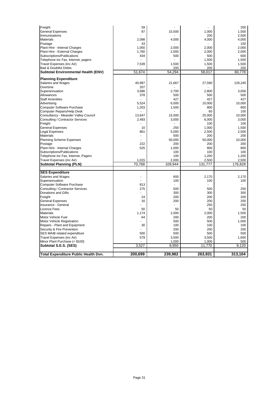| Freight                              | 59      |         |         | 200     |
|--------------------------------------|---------|---------|---------|---------|
| <b>General Expenses</b>              | 87      | 15,500  | 1,000   | 1,500   |
| Immunisations                        |         |         | 200     | 2,500   |
| <b>Materials</b>                     | 2,098   | 4,000   | 4,000   | 4,000   |
| Postage                              | 43      |         |         | 150     |
| Plant Hire - Internal Charges        | 1,050   | 2,000   | 2,000   | 2,000   |
| Plant Hire - External Charges        | 1,760   | 2,000   | 2,000   | 2,000   |
| Subscriptions/Publications           | 434     | 500     | 500     | 600     |
| Telephone inc Fax, Internet, pagers  |         |         | 1,500   | 1,500   |
| Travel Expenses (inc Air)            | 7,539   | 1,500   | 1,500   | 1,500   |
| <b>Bad &amp; Doubtful Debts</b>      |         | 200     | 200     | 200     |
| Subtotal Environmental Health (ENV)  | 51,674  | 54,294  | 58,017  | 60,778  |
| <b>Planning Expenditure</b>          |         |         |         |         |
| Salaries and Wages                   | 40,997  | 21,667  | 27,590  | 129,245 |
| Overtime                             | 207     |         |         |         |
| Superannuation                       | 3,686   | 2,700   | 2,800   | 3,656   |
| Allowances                           | 378     | 500     | 500     | 500     |
| <b>Staff Amenities</b>               |         | 427     | 427     | 427     |
| Advertising                          | 5,524   | 6,000   | 10,000  | 10,000  |
| Computer Software Purchase           | 1,203   | 1,500   | 800     | 800     |
| Computer Repairs/Help Desk           |         |         | 60      | 100     |
| Consultancy - Meander Valley Council | 13,647  | 15,000  | 25,000  | 10,000  |
| Consulting / Contractor Services     |         | 3,000   | 6.000   | 3.000   |
| Freight                              | 2,493   |         | 100     | 100     |
| <b>General Expenses</b>              | 10      | 250     | 1,000   | 1,500   |
| <b>Legal Expenses</b>                | 861     | 5,000   | 2,500   | 2,500   |
| <b>Materials</b>                     |         | 500     | 200     | 200     |
| <b>Planning Scheme Expenses</b>      |         | 50.000  | 50,000  | 10,000  |
| Postage                              | 222     | 200     | 200     | 200     |
| Plant Hire - Internal Charges        | 525     | 1,000   | 800     | 800     |
| Subscriptions/Publications           |         | 100     | 100     | 100     |
| Telephone inc Fax, Internet, Pagers  |         | 100     | 1,200   | 1,200   |
| Travel Expenses (inc Air)            | 1,015   | 2.000   | 2,500   | 2,500   |
| <b>Subtotal Planning (PLN)</b>       | 70,768  | 109,944 | 131,777 | 176,828 |
|                                      |         |         |         |         |
| <b>SES Expenditure</b>               |         |         |         |         |
| Salaries and Wages                   |         | 600     | 2,170   | 2,170   |
| Superannuation                       |         | 100     | 100     | 100     |
| Computer Software Purchase           | 813     |         |         |         |
| Consulting / Contractor Services     | 275     | 500     | 500     | 250     |
| Donations and Gifts                  |         | 300     | 300     | 300     |
| Freight                              | 24      | 200     | 200     | 200     |
| <b>General Expenses</b>              | 16      | 200     | 200     | 200     |
| Insurance - General                  |         |         | 250     | 250     |
| <b>Licence Fees</b>                  | 50      | 50      | 50      | 50      |
| <b>Materials</b>                     | 1,174   | 2,000   | 2,000   | 1,500   |
| Motor Vehicle Fuel                   | 64      | 200     | 200     | 200     |
| <b>Motor Vehicle Registration</b>    |         | 500     | 500     | 1,000   |
| Repairs - Plant and Equipment        | 30      | 100     | 100     | 100     |
| Security & Fire Prevention           |         | 200     | 200     | 200     |
| SES MAIB related expenditure         | 500     | 500     | 500     | 500     |
| Travel Expenses (inc Air)            | 579     | 3,500   | 3,500   | 1,600   |
| Minor Plant Purchase (< \$100)       |         | 1,000   | 1,000   | 500     |
| Subtotal S.E.S. (SES)                | 3,527   | 9,950   | 11,770  | 9,120   |
| Total Expenditure Public Health Dvn. | 200,699 | 239,982 | 263,931 | 313,104 |
|                                      |         |         |         |         |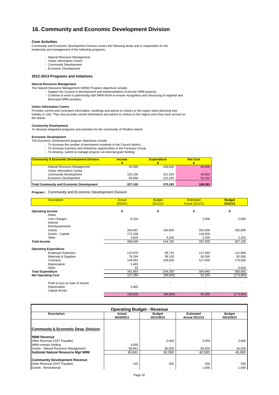# **16. Community and Economic Development Division**

#### **Core Activities**

Community and Economic Development Division covers the following areas and is responsible for the leadership and management of the following programs:

- Natural Resource Management
- Visitor Information Centre
- Community Development - Economic Development

# **2012-2013 Programs and Initiatives**

#### **Natural Resource Management**

- The Natural Resource Management (NRM) Program objectives include:
	- Support the Council in development and implementation of priority NRM projects;
	- Continue to work in partnership with NRM North to ensure recognition and resourcing of regional and
	- Municipal NRM priorities.

#### **Visitor Information Centre**

Provides current and consistent information, bookings and advice to visitors to the region when planning their holiday or visit. They also provide current information and advice to visitors to the region once they have arrived on the Island.

#### **Community Development**

To develop integrated programs and activities for the community of Flinders Island.

#### **Economic Development**

The Economic Development program objectives include:

- To increase the number of permanent residents in the Council district;
- To increase business and enterprise opportunities in the Furneaux Group.
- To develop, submit & manage projects via external grant funding.

| <b>Community &amp; Economic Development Division</b> | <b>Income</b> | <b>Expenditure</b> | <b>Net Cost</b> |
|------------------------------------------------------|---------------|--------------------|-----------------|
| Natural Resource Management                          | 45.000        | 108.000            | 63,000          |
| Visitor Information Centre                           |               |                    |                 |
| <b>Community Development</b>                         | 102.100       | 151.933            | 49.833          |
| Economic Development                                 | 60.000        | 115.250            | 55,250          |
| <b>Total Community and Economic Development</b>      | 207.100       | 375.183            | 168,083         |

#### **Program :** Community and Economic Development Division

| <b>Description</b>              | <b>Actual</b><br>2010/11 | <b>Budget</b><br>2011/12 | <b>Estimated</b><br><b>Actual 2011/12</b> | <b>Budget</b><br>2012/13 |
|---------------------------------|--------------------------|--------------------------|-------------------------------------------|--------------------------|
| <b>Operating Income</b>         | \$                       | \$                       | \$                                        | \$                       |
| Rates                           |                          |                          |                                           |                          |
| <b>User Charges</b>             | 8,316                    |                          | 2,000                                     | 2,000                    |
| Interest                        |                          |                          |                                           |                          |
| Reimbursements                  |                          |                          |                                           |                          |
| Grants                          | 284,697                  | 140,500                  | 252,500                                   | 202,900                  |
| Grants - Capital                | 172,208                  |                          | 140,500                                   |                          |
| Other                           | 3,828                    | 4,200                    | 2,200                                     | 2,200                    |
| <b>Total Income</b>             | 469,049                  | 144,700                  | 397,200                                   | 207,100                  |
| <b>Operating Expenditure</b>    |                          |                          |                                           |                          |
| <b>Employee Expenses</b>        | 110,870                  | 99,715                   | 121,590                                   | 112,983                  |
| Materials & Supplies            | 79,194                   | 39,150                   | 56,350                                    | 82,500                   |
| Contracts                       | 148,091                  | 105,500                  | 127,000                                   | 179,500                  |
| Depreciation                    | 3,483                    |                          |                                           |                          |
| Other                           | 55                       |                          |                                           | 6,000                    |
| <b>Total Expenditure</b>        | 341,693                  | 244,365                  | 304,940                                   | 380,983                  |
| <b>Net Operating Cost</b>       | 127,356                  | (99,665)                 | 92,260                                    | (173, 883)               |
| Profit (Loss) on Sale of Assets |                          |                          |                                           |                          |
| Depreciation                    | 3,483                    |                          |                                           |                          |
| <b>Capital Works</b>            |                          |                          |                                           |                          |
|                                 | 130,839                  | (99,665)                 | 92,260                                    | (173, 883)               |

| <b>Operating Budget - Revenue</b>                                                                                            |                     |                            |                                           |                            |  |
|------------------------------------------------------------------------------------------------------------------------------|---------------------|----------------------------|-------------------------------------------|----------------------------|--|
| <b>Description</b>                                                                                                           | Actual<br>2010/2011 | <b>Budget</b><br>2011/2012 | <b>Estimated</b><br><b>Actual 2011/12</b> | <b>Budget</b><br>2012/2013 |  |
| <b>Community &amp; Economic Devp. Division</b><br><b>INRM Revenue</b><br>Other Revenue (GST Payable)<br>NRM contract funding | 3,000               | 2.000                      | 2,000                                     | 2.000                      |  |
| Grants - Natural Resource Management                                                                                         | 90.841              | 80.500                     | 80.500                                    | 43,000                     |  |
| Subtotal Natural Resource Mgt NRM                                                                                            | 93.841              | 82.500                     | 82.500                                    | 45.000                     |  |
| <b>Community Development Revenue</b><br>Other Revenue (GST Payable)<br>Grants - Recreational                                 | 145                 | 200<br>۰                   | 200<br>1,000                              | 200<br>1.000               |  |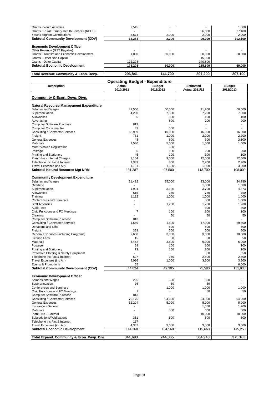| Total Revenue Community & Econ. Devp.         | 296.841 | 144.700 | 397.200 | 207.100 |
|-----------------------------------------------|---------|---------|---------|---------|
|                                               |         |         |         |         |
| <b>Subtotal Economic Development</b>          | 173.208 | 60.000  | 215,500 | 60.000  |
| Grants - Other Capital                        | 172,208 |         | 140,500 |         |
| Grants - Other Non Capital                    |         |         | 15,000  |         |
| Grants - Tourism and Economic Development     | 1.000   | 60.000  | 60,000  | 60.000  |
| Other Revenue (GST Payable)                   |         |         |         |         |
| <b>Economic Development Officer</b>           |         |         |         |         |
| <b>Subtotal Community Development (CDV)</b>   | 13,264  | 2,200   | 99,200  | 102,100 |
| Youth Program Contributions                   | 5.574   | 2.000   | 2.000   | 2.000   |
| Grants - Rural Primary Health Services (RPHS) |         |         | 96,000  | 97.400  |
| Grants - Youth Activities                     | 7.545   |         | ۰       | 1.500   |

|                                             | <b>Operating Budget - Expenditure</b> |                            |                                           |                            |
|---------------------------------------------|---------------------------------------|----------------------------|-------------------------------------------|----------------------------|
| <b>Description</b>                          | <b>Actual</b><br>2010/2011            | <b>Budget</b><br>2011/2012 | <b>Estimated</b><br><b>Actual 2011/12</b> | <b>Budget</b><br>2012/2013 |
| Community & Econ. Devp. Divn.               |                                       |                            |                                           |                            |
| Natural Resource Management Expenditure     |                                       |                            |                                           |                            |
| Salaries and Wages                          | 42,500                                | 60,000                     | 71,200                                    | 60,000                     |
| Superannuation                              | 4,200                                 | 7,500                      | 7,200                                     | 7,500                      |
| Allowances                                  | 56                                    | 500                        | 100                                       | 100                        |
| Advertising                                 |                                       | 500                        | 200                                       | 200                        |
| Computer Software Purchase                  | 813                                   |                            |                                           |                            |
| <b>Computer Consumables</b>                 | 83                                    | 500                        |                                           |                            |
| Consulting / Contractor Services            | 68,989                                | 10.000                     | 16,000                                    | 16,000                     |
| Freight                                     | 781                                   | 1,000                      | 2,200                                     | 2,200                      |
| <b>General Expenses</b>                     | 48                                    | 500                        | 300                                       | 3,500                      |
| <b>Materials</b>                            | 1,530                                 | 5,000                      | 1,000                                     | 1,000                      |
| Motor Vehicle Registration                  |                                       | 500                        |                                           |                            |
| Postage                                     | 85                                    | 100                        | 200                                       | 200                        |
| <b>Printing and Stationery</b>              | 45                                    | 100                        | 100                                       | 100                        |
| Plant Hire - Internal Charges               | 9,104                                 | 9,000                      | 12,000                                    | 12,000                     |
| Telephone inc Fax & Internet                | 1,339                                 | 800                        | 2,200                                     | 2,200                      |
| Travel Expenses (inc Air)                   | 1,781                                 | 1,500                      | 1,000                                     | 3,000                      |
| <b>Subtotal Natural Resource Mgt NRM</b>    | 131,387                               | 97,500                     | 113,700                                   | 108,000                    |
| <b>Community Development Expenditure</b>    |                                       |                            |                                           |                            |
| Salaries and Wages                          | 21,492                                | 25,000                     | 33,000                                    | 34,980                     |
| Overtime                                    |                                       |                            | 1,000                                     | 1,000                      |
| Superannuation                              | 1,904                                 | 3,125                      | 3,700                                     | 4,373                      |
| Allowances                                  | 515                                   | 750                        | 750                                       | 750                        |
| Training                                    | 1,122                                 | 1,000                      | 1,000                                     | 1,000                      |
| <b>Conferences and Seminars</b>             |                                       |                            | 800                                       | 1,000                      |
| <b>Staff Amenities</b>                      | ٠                                     | 1,280                      | 1,280                                     | 1,280                      |
| <b>Audit Fees</b>                           |                                       |                            | 300                                       | 300                        |
| Civic Functions and FC Meetings             | 7                                     | 100                        | 100                                       | 100                        |
| Cleaning                                    |                                       | 50                         | 50                                        | 50                         |
| Computer Software Purchase                  | 813                                   |                            |                                           |                            |
| Consulting / Contractor Services            | 1,569                                 | 1,500                      | 17,000                                    | 69,500                     |
| Donations and Gifts                         |                                       | 500                        | 500                                       | 500                        |
| Freight                                     | 358                                   | 500                        | 500                                       | 500                        |
| General Expenses (including Programs)       | 2,600                                 | 3,000                      | 3,000                                     | 18,000                     |
| Licence Fees                                | 15                                    | 50                         | 50                                        | 50                         |
| <b>Materials</b>                            | 4,452                                 | 3,500                      | 6,000                                     | 6,000                      |
| Postage                                     | 68                                    | 100                        | 100                                       | 100                        |
| <b>Printing and Stationery</b>              | 73                                    | 100                        | 100                                       | 100                        |
| Protective Clothing & Safety Equipment      |                                       |                            | 350                                       | 350                        |
| Telephone inc Fax & Internet                | 627                                   | 750                        | 2,500                                     | 2,500                      |
| Travel Expenses (inc Air)                   | 9,086                                 | 1,000                      | 3,500                                     | 3,500                      |
| Events & Promotions                         | 55                                    |                            |                                           | 6,000                      |
| <b>Subtotal Community Development (CDV)</b> | 44,824                                | 42,305                     | 75,580                                    | 151,933                    |
| <b>Economic Development Officer</b>         |                                       |                            |                                           |                            |
| Salaries and Wages                          | 296                                   | 500                        | 500                                       |                            |
| Superannuation                              | 26                                    | 60                         | 60                                        |                            |
| <b>Conferences and Seminars</b>             | ٠                                     | 1,000                      | 1,000                                     | 1,000                      |
| Civic Functions and FC Meetings             |                                       |                            | 50                                        | 50                         |
| Computer Software Purchase                  | 813                                   |                            |                                           |                            |
| Consulting / Contractor Services            | 76,175                                | 94,000                     | 94,000                                    | 94,000                     |
| <b>General Expenses</b>                     | 32,204                                | 5,000                      | 5,000                                     | 5,000                      |
| Insurance - General                         |                                       |                            | 1,050                                     | 1,200                      |
| <b>Materials</b>                            | $\blacksquare$                        | 500                        | 500                                       | 500                        |
| Plant Hire - External                       |                                       |                            | 10,000                                    | 10,000                     |
| Subscriptions/Publications                  | 351                                   | 500                        | 500                                       | 500                        |
| Telephone inc Fax & Internet                | 137                                   |                            |                                           |                            |
| Travel Expenses (inc Air)                   | 4,357                                 | 3,000                      | 3,000                                     | 3,000                      |
| <b>Subtotal Economic Development</b>        | 114,360                               | 104,560                    | 115,660                                   | 115,250                    |
|                                             |                                       |                            |                                           |                            |
| Total Expend. Community & Econ. Devp. Divi  | 341,693                               | 244,365                    | 304,940                                   | 375,183                    |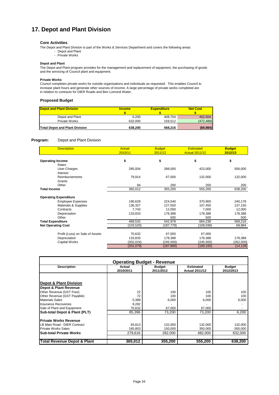# **17. Depot and Plant Division**

#### **Core Activities**

The Depot and Plant Division is part of the Works & Services Department and covers the following areas:

- Depot and Plant
- Private Works

#### **Depot and Plant**

The Depot and Plant program provides for the management and replacement of equipment, the purchasing of goods and the servicing of Council plant and equipment.

#### **Private Works**

Council completes private works for outside organisations and individuals as requested. This enables Council to increase plant hours and generate other sources of income. A large percentage of private works completed are in relation to contracts for DIER Roads and Ben Lomond Water.

#### **Proposed Budget**

| <b>Depot and Plant Division</b>       | <b>Income</b> | <b>Expenditure</b> | <b>Net Cost</b> |
|---------------------------------------|---------------|--------------------|-----------------|
|                                       |               |                    |                 |
| Depot and Plant                       | 6.200         | 408.704            | 402.504         |
| Private Works                         | 632.000       | 159.512            | (472, 488)      |
| <b>Total Depot and Plant Division</b> | 638.200       | 568.216            | (69, 984)       |

#### **Program:** Depot and Plant Division

| <b>Description</b>              | <b>Actual</b><br>2010/11 | <b>Budget</b><br>2011/12 | <b>Estimated</b><br><b>Actual 2011/12</b> | <b>Budget</b><br>2012/13 |
|---------------------------------|--------------------------|--------------------------|-------------------------------------------|--------------------------|
| <b>Operating Income</b>         | \$                       | \$                       | \$                                        | \$                       |
| Rates                           |                          |                          |                                           |                          |
| User Charges                    | 285,004                  | 288,000                  | 423,000                                   | 506,000                  |
| Interest                        |                          |                          |                                           |                          |
| Reimbursements                  | 79,914                   | 67,000                   | 132,000                                   | 132,000                  |
| Grants                          |                          |                          |                                           |                          |
| Other                           | 94                       | 200                      | 200                                       | 200                      |
| <b>Total Income</b>             | 365,012                  | 355,200                  | 555,200                                   | 638,200                  |
| <b>Operating Expenditure</b>    |                          |                          |                                           |                          |
| <b>Employee Expenses</b>        | 190,629                  | 224,540                  | 370,900                                   | 240,178                  |
| Materials & Supplies            | 136,327                  | 127,550                  | 107,450                                   | 137,150                  |
| Contracts                       | 7,743                    | 12,000                   | 7,000                                     | 12,000                   |
| Depreciation                    | 133,833                  | 178,388                  | 178,388                                   | 178,388                  |
| Other                           |                          | 500                      | 500                                       | 500                      |
| <b>Total Expenditure</b>        | 468,532                  | 542,978                  | 664,238                                   | 568,216                  |
| <b>Net Operating Cost</b>       | (103,520)                | (187,778)                | (109, 038)                                | 69,984                   |
| Profit (Loss) on Sale of Assets | 70,632                   | 67,000                   | 67,000                                    |                          |
| Depreciation                    | 133,833                  | 178,388                  | 178,388                                   | 178,388                  |
| Capital Works                   | (302, 024)               | (245, 500)               | (245, 500)                                | (262, 500)               |
|                                 | (201, 079)               | (187, 890)               | (109, 150)                                | (14, 128)                |

| <b>Operating Budget - Revenue</b>      |                     |                     |                                    |                            |  |
|----------------------------------------|---------------------|---------------------|------------------------------------|----------------------------|--|
| <b>Description</b>                     | Actual<br>2010/2011 | Budget<br>2011/2012 | Estimated<br><b>Actual 2011/12</b> | <b>Budget</b><br>2012/2013 |  |
|                                        |                     |                     |                                    |                            |  |
| <b>Depot &amp; Plant Division</b>      |                     |                     |                                    |                            |  |
| Depot & Plant Revenue                  |                     |                     |                                    |                            |  |
| Other Revenue (GST Free)               | 22                  | 100                 | 100                                | 100                        |  |
| Other Revenue (GST Payable)            | 72                  | 100                 | 100                                | 100                        |  |
| <b>Materials Sales</b>                 | 5,388               | 6,000               | 6,000                              | 6,000                      |  |
| Insurance Recoveries                   | 9,282               |                     |                                    |                            |  |
| Sale of Plant and Equipment            | 70,632              | 67,000              | 67,000                             |                            |  |
| Sub-total Depot & Plant (PLT)          | 85.396              | 73.200              | 73.200                             | 6.200                      |  |
| <b>Private Works Revenue</b>           |                     |                     |                                    |                            |  |
| LB Main Road - DIER Contract           | 93,813              | 132,000             | 132,000                            | 132,000                    |  |
| <b>Private Works Sales</b>             | 185,803             | 150,000             | 350,000                            | 500,000                    |  |
| <b>ISub-total Private Works</b>        | 279,616             | 282,000             | 482.000                            | 632,000                    |  |
| <b>Total Revenue Depot &amp; Plant</b> | 365,012             | 355,200             | 555.200                            | 638,200                    |  |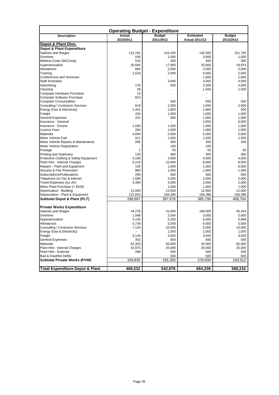| <b>Operating Budget - Expenditure</b>                                    |                     |                            |                                           |                            |
|--------------------------------------------------------------------------|---------------------|----------------------------|-------------------------------------------|----------------------------|
| <b>Description</b>                                                       | Actual<br>2010/2011 | <b>Budget</b><br>2011/2012 | <b>Estimated</b><br><b>Actual 2011/12</b> | <b>Budget</b><br>2012/2013 |
| Depot & Plant Divn.                                                      |                     |                            |                                           |                            |
| <b>Depot &amp; Plant Expenditure</b>                                     |                     |                            |                                           |                            |
| Salaries and Wages                                                       | 112,191             | 143,200                    | 130,500                                   | 151.792                    |
| Overtime                                                                 | 436                 | 1,000                      | 3,000                                     | 1,000                      |
| Medical Costs (W/Comp)                                                   | 516                 | 300                        | 300                                       | 300                        |
| Superannuation                                                           | 20,565              | 17,900                     | 20,000                                    | 18,974                     |
| Allowances                                                               | 664                 | 2,000                      | 2,000                                     | 2,000                      |
| Training                                                                 | 1,518               | 2,000                      | 4,000                                     | 2,000                      |
| <b>Conferences and Seminars</b>                                          |                     |                            | 1,600                                     | 1,600                      |
| <b>Staff Amenities</b>                                                   |                     | 3,840                      | 4,000                                     | 4,000                      |
| Advertising                                                              | 176                 | 500                        | 2,500                                     | 2,500                      |
| Cleaning                                                                 | 29                  | $\blacksquare$             | 1,500                                     | 1,500                      |
| Computer Hardware Purchase                                               | 13                  |                            |                                           |                            |
| Computer Software Purchase                                               | 813                 |                            |                                           |                            |
| <b>Computer Consumables</b>                                              |                     | 500                        | 500                                       | 500                        |
| Consulting / Contractor Services                                         | 619                 | 2,000                      | 2,000                                     | 2,000                      |
| Energy (Gas & Electricity)                                               | 1,441               | 1,800                      | 1,800                                     | 500                        |
| Freight                                                                  | 434                 | 1,000                      | 1,000                                     | 1,000                      |
| <b>General Expenses</b>                                                  | 431                 | 500                        | 1,000                                     | 1,000                      |
| Insurance - General                                                      |                     |                            | 2,900                                     | 6,000                      |
| <b>Insurance - Excess</b>                                                | 1,000               | 1,000                      | 1,000                                     | 1,000                      |
| Licence Fees                                                             | 260                 | 1,000                      | 1,000                                     | 1,000                      |
| <b>Materials</b>                                                         | 4,656               | 5,000                      | 5,000                                     | 5,000                      |
| Motor Vehicle Fuel                                                       | 911                 | 1,500                      |                                           | 1,500                      |
| Motor Vehicle Repairs & Maintenance                                      | 286                 | 300                        | 1,500<br>300                              | 300                        |
| Motor Vehicle Registration                                               |                     | 100                        | 100                                       |                            |
| Postage                                                                  |                     | 50                         |                                           | 50                         |
|                                                                          | 1<br>128            |                            | 50                                        | 300                        |
| <b>Printing and Stationery</b><br>Protective Clothing & Safety Equipment |                     | 300                        | 300                                       | 4.000                      |
|                                                                          | 4,193               | 4,000                      | 4,000                                     |                            |
| Plant Hire - Internal Charges                                            | 6,219               | 10,000                     | 8,000                                     | 8,000                      |
| Repairs - Plant and Equipment                                            | 105<br>980          | 1,000                      | 1,000                                     | 6,000                      |
| Security & Fire Prevention                                               | 295                 | 1,000                      | 1,000                                     | 1,000                      |
| Subscriptions/Publications                                               |                     | 500                        | 500                                       | 500                        |
| Telephone inc Fax & Internet                                             | 1,590               | 2,000                      | 2,000                                     | 2,000                      |
| Travel Expenses (inc Air)                                                | 4,394               | 4,000                      | 2,000                                     | 2,000                      |
| Minor Plant Purchase (< \$100)                                           |                     | 1,000                      | 1,000                                     | 1,000                      |
| Depreciation - Building                                                  | 11,000              | 12,000                     | 12,000                                    | 12,000                     |
| Depreciation - Plant & Equipment                                         | 122,833             | 166,388                    | 166,388                                   | 166,388                    |
| Subtotal Depot & Plant (PLT)                                             | 298,697             | 387,678                    | 385,738                                   | 408,704                    |
| <b>Private Works Expenditure</b>                                         |                     |                            |                                           |                            |
| Salaries and Wages                                                       | 44,278              | 41,600                     | 190,000                                   | 45,344                     |
| Overtime                                                                 | 1,568               | 2,000                      | 3,000                                     | 2.000                      |
| Superannuation                                                           | 3,155               | 5,200                      | 6,000                                     | 5,668                      |
| Allowances                                                               | 5,738               | 5,500                      | 6,500                                     | 5,500                      |
| Consulting / Contractor Services                                         | 7,124               | 10,000                     | 5,000                                     | 10,000                     |
| Energy (Gas & Electricity)                                               |                     | 1,000                      | 1,000                                     | 1,000                      |
| Freight                                                                  | 3,144               | 3,500                      | 3,500                                     | 3,500                      |
| <b>General Expenses</b>                                                  | 302                 | 500                        | 500                                       | 500                        |
| <b>Materials</b>                                                         | 61,353              | 60,000                     | 42,000                                    | 60,000                     |
| Plant Hire - Internal Charges                                            | 42,875              | 25,000                     | 20,000                                    | 25,000                     |
| Plant Hire - External                                                    | 298                 | 500                        | 500                                       | 500                        |
| <b>Bad &amp; Doubtful Debts</b>                                          |                     | 500                        | 500                                       | 500                        |
| Subtotal Private Works (PVW)                                             | 169,835             | 155,300                    | 278,500                                   | 159,512                    |
|                                                                          |                     |                            |                                           |                            |
| <b>Total Expenditure Depot &amp; Plant</b>                               | 468,532             | 542,978                    | 664,238                                   | 568,216                    |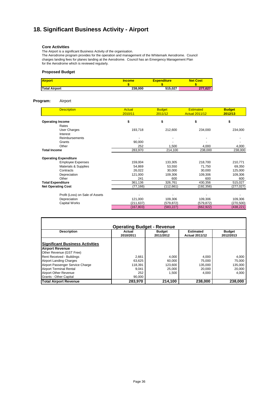# **18. Significant Business Activity - Airport**

#### **Core Activities**

The Airport is a significant Business Activity of the organisation.

The Aerodrome program provides for the operation and management of the Whitemark Aerodrome. Council charges landing fees for planes landing at the Aerodrome. Council has an Emergency Management Plan for the Aerodrome which is reviewed regularly.

#### **Proposed Budget**

| <b>Airport</b>       | <b>Income</b> | <b>Expenditure</b> | <b>Net Cost</b> |
|----------------------|---------------|--------------------|-----------------|
|                      |               |                    |                 |
| <b>Total Airport</b> | 238.000       | 515.027            | 277.027         |

#### **Program:** Airport

| <b>Description</b>              | Actual<br>2010/11 | <b>Budget</b><br>2011/12 | <b>Estimated</b><br><b>Actual 2011/12</b> | <b>Budget</b><br>2012/13 |
|---------------------------------|-------------------|--------------------------|-------------------------------------------|--------------------------|
| <b>Operating Income</b>         | \$                | \$                       | \$                                        | \$                       |
| Rates                           |                   |                          |                                           |                          |
| User Charges                    | 193,718           | 212,600                  | 234,000                                   | 234,000                  |
| Interest                        |                   |                          |                                           |                          |
| Reimbursements                  |                   |                          |                                           |                          |
| Grants                          | 90,000            |                          |                                           |                          |
| Other                           | 252               | 1,500                    | 4,000                                     | 4,000                    |
| <b>Total Income</b>             | 283,970           | 214,100                  | 238,000                                   | 238,000                  |
| <b>Operating Expenditure</b>    |                   |                          |                                           |                          |
| <b>Employee Expenses</b>        | 159,004           | 133,305                  | 218,700                                   | 210,771                  |
| Materials & Supplies            | 54,869            | 53,550                   | 71,750                                    | 69,350                   |
| Contracts                       | 26,022            | 30,000                   | 30,000                                    | 125,000                  |
| Depreciation                    | 121,000           | 109,306                  | 109,306                                   | 109,306                  |
| Other                           | 241               | 600                      | 600                                       | 600                      |
| <b>Total Expenditure</b>        | 361,136           | 326,761                  | 430,356                                   | 515,027                  |
| <b>Net Operating Cost</b>       | (77, 166)         | (112, 661)               | (192,356)                                 | (277, 027)               |
| Profit (Loss) on Sale of Assets |                   |                          |                                           |                          |
| Depreciation                    | 121,000           | 109,306                  | 109,306                                   | 109,306                  |
| Capital Works                   | (211, 637)        | (579, 872)               | (579, 872)                                | (270, 500)               |
|                                 | (167, 803)        | (583, 227)               | (662,922)                                 | (438, 221)               |

| <b>Operating Budget - Revenue</b>      |           |               |                       |               |  |  |  |  |
|----------------------------------------|-----------|---------------|-----------------------|---------------|--|--|--|--|
| <b>Description</b>                     | Actual    | <b>Budget</b> | <b>Estimated</b>      | <b>Budget</b> |  |  |  |  |
|                                        | 2010/2011 | 2011/2012     | <b>Actual 2011/12</b> | 2012/2013     |  |  |  |  |
| <b>Significant Business Activities</b> |           |               |                       |               |  |  |  |  |
| <b>Airport Revenue</b>                 |           |               |                       |               |  |  |  |  |
| Other Revenue (GST Free)               |           |               |                       |               |  |  |  |  |
| Rent Received - Buildings              | 2.661     | 4,000         | 4.000                 | 4.000         |  |  |  |  |
| <b>Airport Landing Charges</b>         | 63,625    | 60,000        | 75,000                | 75,000        |  |  |  |  |
| Airport Passenger Service Charge       | 118,391   | 123,600       | 135,000               | 135,000       |  |  |  |  |
| <b>Airport Terminal Rental</b>         | 9.041     | 25,000        | 20.000                | 20.000        |  |  |  |  |
| <b>Airport Other Revenue</b>           | 252       | 1,500         | 4,000                 | 4.000         |  |  |  |  |
| Grants - Other Capital                 | 90,000    |               |                       |               |  |  |  |  |
| <b>Total Airport Revenue</b>           | 283,970   | 214,100       | 238,000               | 238,000       |  |  |  |  |